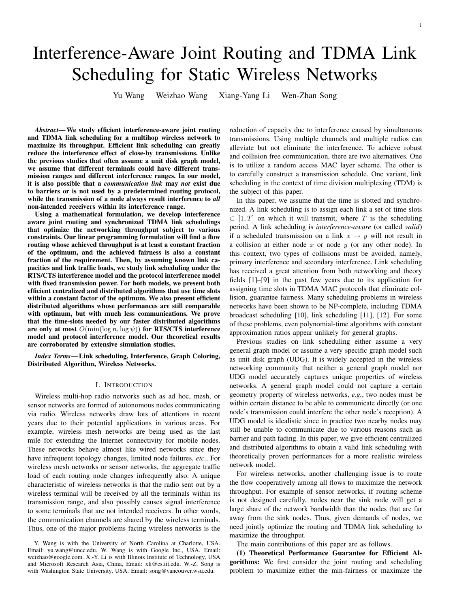# Interference-Aware Joint Routing and TDMA Link Scheduling for Static Wireless Networks

Yu Wang Weizhao Wang Xiang-Yang Li Wen-Zhan Song

*Abstract*— We study efficient interference-aware joint routing and TDMA link scheduling for a multihop wireless network to maximize its throughput. Efficient link scheduling can greatly reduce the interference effect of close-by transmissions. Unlike the previous studies that often assume a unit disk graph model, we assume that different terminals could have different transmission ranges and different interference ranges. In our model, it is also possible that a *communication link* may *not* exist due to barriers or is not used by a predetermined routing protocol, while the transmission of a node always result interference to *all* non-intended receivers within its interference range.

Using a mathematical formulation, we develop interference aware joint routing and synchronized TDMA link schedulings that optimize the networking throughput subject to various constraints. Our linear programming formulation will find a flow routing whose achieved throughput is at least a constant fraction of the optimum, and the achieved fairness is also a constant fraction of the requirement. Then, by assuming known link capacities and link traffic loads, we study link scheduling under the RTS/CTS interference model and the protocol interference model with fixed transmission power. For both models, we present both efficient centralized and distributed algorithms that use time slots within a constant factor of the optimum. We also present efficient distributed algorithms whose performances are still comparable with optimum, but with much less communications. We prove that the time-slots needed by our faster distributed algorithms are only at most  $O(\min(\log n, \log \psi))$  for RTS/CTS interference model and protocol interference model. Our theoretical results are corroborated by extensive simulation studies.

*Index Terms*— Link scheduling, Interference, Graph Coloring, Distributed Algorithm, Wireless Networks.

#### I. INTRODUCTION

Wireless multi-hop radio networks such as ad hoc, mesh, or sensor networks are formed of autonomous nodes communicating via radio. Wireless networks draw lots of attentions in recent years due to their potential applications in various areas. For example, wireless mesh networks are being used as the last mile for extending the Internet connectivity for mobile nodes. These networks behave almost like wired networks since they have infrequent topology changes, limited node failures, *etc.*. For wireless mesh networks or sensor networks, the aggregate traffic load of each routing node changes infrequently also. A unique characteristic of wireless networks is that the radio sent out by a wireless terminal will be received by all the terminals within its transmission range, and also possibly causes signal interference to some terminals that are not intended receivers. In other words, the communication channels are shared by the wireless terminals. Thus, one of the major problems facing wireless networks is the reduction of capacity due to interference caused by simultaneous transmissions. Using multiple channels and multiple radios can alleviate but not eliminate the interference. To achieve robust and collision free communication, there are two alternatives. One is to utilize a random access MAC layer scheme. The other is to carefully construct a transmission schedule. One variant, link scheduling in the context of time division multiplexing (TDM) is the subject of this paper.

In this paper, we assume that the time is slotted and synchronized. A link scheduling is to assign each link a set of time slots  $\subset$  [1, T] on which it will transmit, where T is the scheduling period. A link scheduling is *interference-aware* (or called *valid*) if a scheduled transmission on a link  $x \rightarrow y$  will not result in a collision at either node  $x$  or node  $y$  (or any other node). In this context, two types of collisions must be avoided, namely, primary interference and secondary interference. Link scheduling has received a great attention from both networking and theory fields [1]–[9] in the past few years due to its application for assigning time slots in TDMA MAC protocols that eliminate collision, guarantee fairness. Many scheduling problems in wireless networks have been shown to be NP-complete, including TDMA broadcast scheduling [10], link scheduling [11], [12]. For some of these problems, even polynomial-time algorithms with constant approximation ratios appear unlikely for general graphs.

Previous studies on link scheduling either assume a very general graph model or assume a very specific graph model such as unit disk graph (UDG). It is widely accepted in the wireless networking community that neither a general graph model nor UDG model accurately captures unique properties of wireless networks. A general graph model could not capture a certain geometry property of wireless networks, *e.g.*, two nodes must be within certain distance to be able to communicate directly (or one node's transmission could interfere the other node's reception). A UDG model is idealistic since in practice two nearby nodes may still be unable to communicate due to various reasons such as barrier and path fading. In this paper, we give efficient centralized and distributed algorithms to obtain a valid link scheduling with theoretically proven performances for a more realistic wireless network model.

For wireless networks, another challenging issue is to route the flow cooperatively among all flows to maximize the network throughput. For example of sensor networks, if routing scheme is not designed carefully, nodes near the sink node will get a large share of the network bandwidth than the nodes that are far away from the sink nodes. Thus, given demands of nodes, we need jointly optimize the routing and TDMA link scheduling to maximize the throughput.

The main contributions of this paper are as follows.

(1) Theoretical Performance Guarantee for Efficient Algorithms: We first consider the joint routing and scheduling problem to maximize either the min-fairness or maximize the

Y. Wang is with the University of North Carolina at Charlotte, USA. Email: yu.wang@uncc.edu. W. Wang is with Google Inc., USA. Email: weizhao@google.com. X.-Y. Li is with Illinois Institute of Technology, USA and Microsoft Research Asia, China, Email: xli@cs.iit.edu. W.-Z. Song is with Washington State University, USA. Email: song@vancouver.wsu.edu.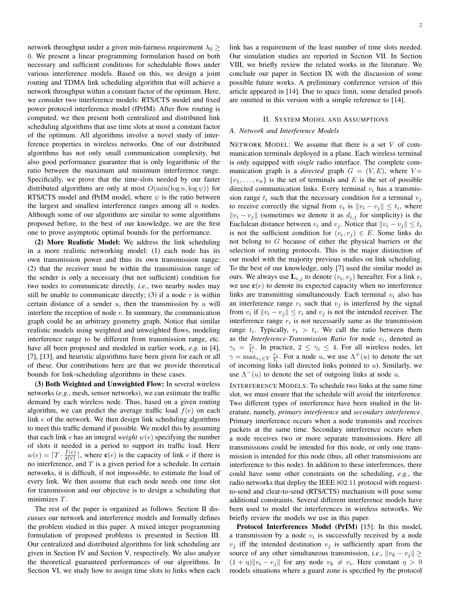network throughput under a given min-fairness requirement  $\lambda_0 \geq$ 0. We present a linear programming formulation based on both necessary and sufficient conditions for schedulable flows under various interference models. Based on this, we design a joint routing and TDMA link scheduling algorithm that will achieve a network throughput within a constant factor of the optimum. Here, we consider two interference models: RTS/CTS model and fixed power protocol interference model (fPrIM). After flow routing is computed, we then present both centralized and distributed link scheduling algorithms that use time slots at most a constant factor of the optimum. All algorithms involve a novel study of interference properties in wireless networks. One of our distributed algorithms has not only small communication complexity, but also good performance guarantee that is only logarithmic of the ratio between the maximum and minimum interference range. Specifically, we prove that the time-slots needed by our faster distributed algorithms are only at most  $O(\min(\log n, \log \psi))$  for RTS/CTS model and fPrIM model, where  $\psi$  is the ratio between the largest and smallest interference ranges among all  $n$  nodes. Although some of our algorithms are similar to some algorithms proposed before, to the best of our knowledge, we are the first one to prove asymptotic optimal bounds for the performance.

(2) More Realistic Model: We address the link scheduling in a more realistic networking model: (1) each node has its own transmission power and thus its own transmission range; (2) that the receiver must be within the transmission range of the sender is only a necessary (but not sufficient) condition for two nodes to communicate directly, *i.e.*, two nearby nodes may still be unable to communicate directly; (3) if a node  $v$  is within certain distance of a sender  $u$ , then the transmission by  $u$  will interfere the reception of node  $v$ . In summary, the communication graph could be an arbitrary geometry graph. Notice that similar realistic models using weighted and unweighted flows, modeling interference range to be different from transmission range, etc. have all been proposed and modeled in earlier work, *e.g.* in [4], [7], [13], and heuristic algorithms have been given for each or all of these. Our contributions here are that we provide theoretical bounds for link-scheduling algorithms in these cases.

(3) Both Weighted and Unweighted Flow: In several wireless networks (*e.g.*, mesh, sensor networks), we can estimate the traffic demand by each wireless node. Thus, based on a given routing algorithm, we can predict the average traffic load  $f(e)$  on each link e of the network. We then design link scheduling algorithms to meet this traffic demand if possible. We model this by assuming that each link  $e$  has an integral *weight*  $w(e)$  specifying the number of slots it needed in a period to support its traffic load. Here  $w(e) = \lceil T \cdot \frac{f(e)}{g(e)} \rceil$  $\frac{\sigma(e)}{\sigma(e)}$ , where  $\mathbf{c}(e)$  is the capacity of link *e* if there is no interference, and  $T$  is a given period for a schedule. In certain networks, it is difficult, if not impossible, to estimate the load of every link. We then assume that each node needs one time slot for transmission and our objective is to design a scheduling that minimizes T.

The rest of the paper is organized as follows. Section II discusses our network and interference models and formally defines the problem studied in this paper. A mixed integer programming formulation of proposed problems is presented in Section III. Our centralized and distributed algorithms for link scheduling are given in Section IV and Section V, respectively. We also analyze the theoretical guaranteed performances of our algorithms. In Section VI, we study how to assign time slots to links when each link has a requirement of the least number of time slots needed. Our simulation studies are reported in Section VII. In Section VIII, we briefly review the related works in the literature. We conclude our paper in Section IX with the discussion of some possible future works. A preliminary conference version of this article appeared in [14]. Due to space limit, some detailed proofs are omitted in this version with a simple reference to [14].

#### II. SYSTEM MODEL AND ASSUMPTIONS

#### *A. Network and Interference Models*

NETWORK MODEL: We assume that there is a set  $V$  of communication terminals deployed in a plane. Each wireless terminal is only equipped with *single* radio interface. The complete communication graph is a *directed* graph  $G = (V, E)$ , where  $V =$  $\{v_1, \ldots, v_n\}$  is the set of terminals and E is the set of possible directed communication links. Every terminal  $v_i$  has a transmission range  $t_i$  such that the necessary condition for a terminal  $v_i$ to receive correctly the signal from  $v_i$  is  $||v_i - v_j|| \le t_i$ , where  $||v_i - v_j||$  (sometimes we denote it as  $d_{i,j}$  for simplicity) is the Euclidean distance between  $v_i$  and  $v_j$ . Notice that  $||v_i - v_j|| \le t_i$ is not the sufficient condition for  $(v_i, v_j) \in E$ . Some links do not belong to G because of either the physical barriers or the selection of routing protocols. This is the major distinction of our model with the majority previous studies on link scheduling. To the best of our knowledge, only [7] used the similar model as ours. We always use  $\mathbf{L}_{i,j}$  to denote  $(v_i, v_j)$  hereafter. For a link e, we use  $c(e)$  to denote its expected capacity when no interference links are transmitting simultaneously. Each terminal  $v_i$  also has an interference range  $r_i$  such that  $v_j$  is interfered by the signal from  $v_i$  if  $||v_i - v_j|| \leq r_i$  and  $v_j$  is not the intended receiver. The interference range  $r_i$  is not necessarily same as the transmission range  $t_i$ . Typically,  $r_i > t_i$ . We call the ratio between them as the *Interference-Transmission Ratio* for node  $v_i$ , denoted as  $\gamma_i = \frac{r_i}{t_i}$ . In practice,  $2 \leq \gamma_i \leq 4$ . For all wireless nodes, let  $\gamma = \max_{v_i \in V} \frac{r_i}{t_i}$ . For a node u, we use  $\Lambda^+(u)$  to denote the set of incoming links (all directed links pointed to  $u$ ). Similarly, we use  $\Lambda^-(u)$  to denote the set of outgoing links at node u.

INTERFERENCE MODELS: To schedule two links at the same time slot, we must ensure that the schedule will avoid the interference. Two different types of interference have been studied in the literature, namely, *primary interference* and *secondary interference*. Primary interference occurs when a node transmits and receives packets at the same time. Secondary interference occurs when a node receives two or more separate transmissions. Here all transmissions could be intended for this node, or only one transmission is intended for this node (thus, all other transmissions are interference to this node). In addition to these interferences, there could have some other constraints on the scheduling, *e.g.*, the radio networks that deploy the IEEE 802.11 protocol with requestto-send and clear-to-send (RTS/CTS) mechanism will pose some additional constraints. Several different interference models have been used to model the interferences in wireless networks. We briefly review the models we use in this paper.

Protocol Interferences Model (PrIM) [15]: In this model, a transmission by a node  $v_i$  is successfully received by a node  $v_j$  iff the intended destination  $v_j$  is sufficiently apart from the source of any other simultaneous transmission, *i.e.*,  $||v_k - v_j|| \ge$  $(1 + \eta) \|v_i - v_j\|$  for any node  $v_k \neq v_i$ . Here constant  $\eta > 0$ models situations where a guard zone is specified by the protocol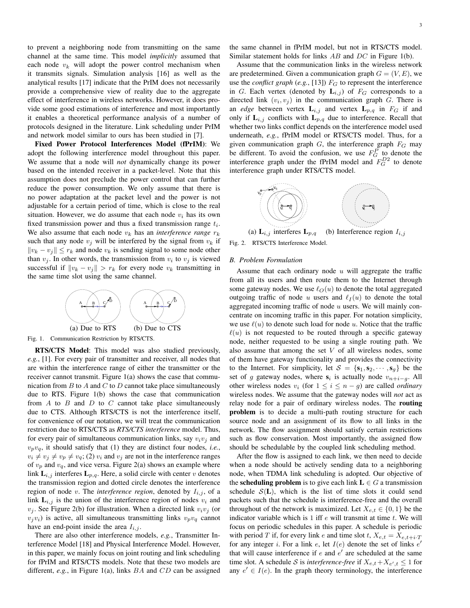to prevent a neighboring node from transmitting on the same channel at the same time. This model *implicitly* assumed that each node  $v_k$  will adopt the power control mechanism when it transmits signals. Simulation analysis [16] as well as the analytical results [17] indicate that the PrIM does not necessarily provide a comprehensive view of reality due to the aggregate effect of interference in wireless networks. However, it does provide some good estimations of interference and most importantly it enables a theoretical performance analysis of a number of protocols designed in the literature. Link scheduling under PrIM and network model similar to ours has been studied in [7].

Fixed Power Protocol Interferences Model (fPrIM): We adopt the following interference model throughout this paper. We assume that a node will *not* dynamically change its power based on the intended receiver in a packet-level. Note that this assumption does not preclude the power control that can further reduce the power consumption. We only assume that there is no power adaptation at the packet level and the power is not adjustable for a certain period of time, which is close to the real situation. However, we do assume that each node  $v_i$  has its own fixed transmission power and thus a fixed transmission range  $t_i$ . We also assume that each node  $v_k$  has an *interference range*  $r_k$ such that any node  $v_i$  will be interfered by the signal from  $v_k$  if  $||v_k - v_j|| \leq r_k$  and node  $v_k$  is sending signal to some node other than  $v_j$ . In other words, the transmission from  $v_i$  to  $v_j$  is viewed successful if  $||v_k - v_j|| > r_k$  for every node  $v_k$  transmitting in the same time slot using the same channel.



Fig. 1. Communication Restriction by RTS/CTS.

RTS/CTS Model: This model was also studied previously, *e.g.*, [1]. For every pair of transmitter and receiver, all nodes that are within the interference range of either the transmitter or the receiver cannot transmit. Figure 1(a) shows the case that communication from  $B$  to  $A$  and  $C$  to  $D$  cannot take place simultaneously due to RTS. Figure 1(b) shows the case that communication from  $A$  to  $B$  and  $D$  to  $C$  cannot take place simultaneously due to CTS. Although RTS/CTS is not the interference itself, for convenience of our notation, we will treat the communication restriction due to RTS/CTS as *RTS/CTS interference* model. Thus, for every pair of simultaneous communication links, say  $v_i v_j$  and  $v_p v_q$ , it should satisfy that (1) they are distinct four nodes, *i.e.*,  $v_i \neq v_j \neq v_p \neq v_q$ ; (2)  $v_i$  and  $v_j$  are not in the interference ranges of  $v_p$  and  $v_q$ , and vice versa. Figure 2(a) shows an example where link  $\mathbf{L}_{i,j}$  interferes  $\mathbf{L}_{p,q}$ . Here, a solid circle with center v denotes the transmission region and dotted circle denotes the interference region of node v. The *interference region*, denoted by  $I_{i,j}$ , of a link  $L_{i,j}$  is the union of the interference region of nodes  $v_i$  and  $v_j$ . See Figure 2(b) for illustration. When a directed link  $v_i v_j$  (or  $v_jv_i$ ) is active, all simultaneous transmitting links  $v_pv_q$  cannot have an end-point inside the area  $I_{i,j}$ .

There are also other interference models, *e.g.*, Transmitter Interference Model [18] and Physical Interference Model. However, in this paper, we mainly focus on joint routing and link scheduling for fPrIM and RTS/CTS models. Note that these two models are different, *e.g.*, in Figure 1(a), links BA and CD can be assigned

the same channel in fPrIM model, but not in RTS/CTS model. Similar statement holds for links AB and DC in Figure 1(b).

Assume that the communication links in the wireless network are predetermined. Given a communication graph  $G = (V, E)$ , we use the *conflict graph* (*e.g.*, [13])  $F_G$  to represent the interference in G. Each vertex (denoted by  $\mathbf{L}_{i,j}$ ) of  $F_G$  corresponds to a directed link  $(v_i, v_j)$  in the communication graph G. There is an *edge* between vertex  $\mathbf{L}_{i,j}$  and vertex  $\mathbf{L}_{p,q}$  in  $F_G$  if and only if  $\mathbf{L}_{i,j}$  conflicts with  $\mathbf{L}_{p,q}$  due to interference. Recall that whether two links conflict depends on the interference model used underneath, *e.g.*, fPrIM model or RTS/CTS model. Thus, for a given communication graph  $G$ , the interference graph  $F_G$  may be different. To avoid the confusion, we use  $F_G^P$  to denote the interference graph under the fPrIM model and  $F_G^{D2}$  to denote interference graph under RTS/CTS model.



(a)  $\mathbf{L}_{i,j}$  interferes  $\mathbf{L}_{p,q}$  (b) Interference region  $I_{i,j}$ Fig. 2. RTS/CTS Interference Model.

# *B. Problem Formulation*

Assume that each ordinary node  $u$  will aggregate the traffic from all its users and then route them to the Internet through some gateway nodes. We use  $\ell_O(u)$  to denote the total aggregated outgoing traffic of node u users and  $\ell_I (u)$  to denote the total aggregated incoming traffic of node  $u$  users. We will mainly concentrate on incoming traffic in this paper. For notation simplicity, we use  $\ell(u)$  to denote such load for node u. Notice that the traffic  $\ell(u)$  is not requested to be routed through a specific gateway node, neither requested to be using a single routing path. We also assume that among the set  $V$  of all wireless nodes, some of them have gateway functionality and provides the connectivity to the Internet. For simplicity, let  $S = \{s_1, s_2, \dots, s_q\}$  be the set of g gateway nodes, where  $s_i$  is actually node  $v_{n+i-g}$ . All other wireless nodes  $v_i$  (for  $1 \leq i \leq n - g$ ) are called *ordinary* wireless nodes. We assume that the gateway nodes will *not* act as relay node for a pair of ordinary wireless nodes. The routing problem is to decide a multi-path routing structure for each source node and an assignment of its flow to all links in the network. The flow assignment should satisfy certain restrictions such as flow conservation. Most importantly, the assigned flow should be schedulable by the coupled link scheduling method.

After the flow is assigned to each link, we then need to decide when a node should be actively sending data to a neighboring node, when TDMA link scheduling is adopted. Our objective of the **scheduling problem** is to give each link  $L \in G$  a transmission schedule  $S(L)$ , which is the list of time slots it could send packets such that the schedule is interference-free and the overall throughout of the network is maximized. Let  $X_{e,t} \in \{0,1\}$  be the indicator variable which is  $1$  iff  $e$  will transmit at time  $t$ . We will focus on periodic schedules in this paper. A schedule is periodic with period T if, for every link e and time slot t,  $X_{e,t} = X_{e,t+i} \cdot T$ for any integer i. For a link e, let  $I(e)$  denote the set of links  $e'$ that will cause interference if  $e$  and  $e'$  are scheduled at the same time slot. A schedule S is *interference-free* if  $X_{e,t} + X_{e',t} \leq 1$  for any  $e' \in I(e)$ . In the graph theory terminology, the interference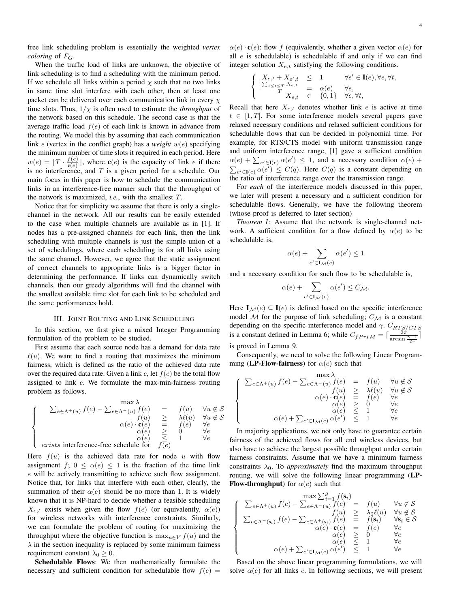free link scheduling problem is essentially the weighted *vertex coloring* of  $F_G$ .

When the traffic load of links are unknown, the objective of link scheduling is to find a scheduling with the minimum period. If we schedule all links within a period  $\chi$  such that no two links in same time slot interfere with each other, then at least one packet can be delivered over each communication link in every  $\chi$ time slots. Thus,  $1/\chi$  is often used to estimate the *throughput* of the network based on this schedule. The second case is that the average traffic load  $f(e)$  of each link is known in advance from the routing. We model this by assuming that each communication link e (vertex in the conflict graph) has a *weight* w(e) specifying the minimum number of time slots it required in each period. Here  $w(e) = \lceil T \cdot \frac{f(e)}{g(e)} \rceil$  $\frac{f(e)}{g(e)}$ , where  $c(e)$  is the capacity of link *e* if there is no interference, and  $T$  is a given period for a schedule. Our main focus in this paper is how to schedule the communication links in an interference-free manner such that the throughput of the network is maximized, *i.e.*, with the smallest T.

Notice that for simplicity we assume that there is only a singlechannel in the network. All our results can be easily extended to the case when multiple channels are available as in [1]. If nodes has a pre-assigned channels for each link, then the link scheduling with multiple channels is just the simple union of a set of schedulings, where each scheduling is for all links using the same channel. However, we agree that the static assignment of correct channels to appropriate links is a bigger factor in determining the performance. If links can dynamically switch channels, then our greedy algorithms will find the channel with the smallest available time slot for each link to be scheduled and the same performances hold.

### III. JOINT ROUTING AND LINK SCHEDULING

In this section, we first give a mixed Integer Programming formulation of the problem to be studied.

First assume that each source node has a demand for data rate  $\ell(u)$ . We want to find a routing that maximizes the minimum fairness, which is defined as the ratio of the achieved data rate over the required data rate. Given a link  $e$ , let  $f(e)$  be the total flow assigned to link e. We formulate the max-min-fairness routing problem as follows.

$$
\begin{cases}\n\sum_{e \in \Lambda^+(u)} f(e) - \sum_{e \in \Lambda^-(u)} \begin{cases}\n\max \lambda \\
f(e) & = & f(u) \quad \forall u \notin \mathcal{S} \\
f(u) & \geq & \lambda \ell(u) \quad \forall u \notin \mathcal{S} \\
\alpha(e) \cdot \mathbf{c}(e) & = & f(e) \quad \forall e \\
\alpha(e) & \geq & 0 \quad \forall e \\
\alpha(e) & \leq & 1 \quad \forall e\n\end{cases}\n\end{cases}
$$
\nexists interference-free schedule for  $f(e)$ 

Here  $f(u)$  is the achieved data rate for node u with flow assignment f;  $0 \leq \alpha(e) \leq 1$  is the fraction of the time link e will be actively transmitting to achieve such flow assignment. Notice that, for links that interfere with each other, clearly, the summation of their  $\alpha(e)$  should be no more than 1. It is widely known that it is NP-hard to decide whether a feasible scheduling  $X_{e,t}$  exists when given the flow  $f(e)$  (or equivalently,  $\alpha(e)$ ) for wireless networks with interference constraints. Similarly, we can formulate the problem of routing for maximizing the throughput where the objective function is  $\max_{u \in V} f(u)$  and the  $\lambda$  in the section inequality is replaced by some minimum fairness requirement constant  $\lambda_0 \geq 0$ .

Schedulable Flows: We then mathematically formulate the necessary and sufficient condition for schedulable flow  $f(e)$  =

 $\alpha(e) \cdot \mathbf{c}(e)$ : flow f (equivalently, whether a given vector  $\alpha(e)$  for all  $e$  is schedulable) is schedulable if and only if we can find integer solution  $X_{e,t}$  satisfying the following conditions.

$$
\begin{cases}\nX_{e,t} + X_{e',t} \leq 1 & \forall e' \in \mathbf{I}(e), \forall e, \forall t, \\
\frac{\sum_{1 \leq t \leq T} X_{e,t}}{T} = \alpha(e) & \forall e, \\
X_{e,t} \in \{0,1\} & \forall e, \forall t,\n\end{cases}
$$

Recall that here  $X_{e,t}$  denotes whether link e is active at time  $t \in [1, T]$ . For some interference models several papers gave relaxed necessary conditions and relaxed sufficient conditions for schedulable flows that can be decided in polynomial time. For example, for RTS/CTS model with uniform transmission range and uniform interference range, [1] gave a sufficient condition and unform interference range, [1] gave a surficient condition<br> $\alpha(e) + \sum_{e' \in I(e)} \alpha(e') \leq 1$ , and a necessary condition  $\alpha(e)$  +  $\tilde{=}$  $e' \in I(e)$   $\alpha(e') \leq C(q)$ . Here  $C(q)$  is a constant depending on the ratio of interference range over the transmission range.

For *each* of the interference models discussed in this paper, we later will present a necessary and a sufficient condition for schedulable flows. Generally, we have the following theorem (whose proof is deferred to later section)

*Theorem 1:* Assume that the network is single-channel network. A sufficient condition for a flow defined by  $\alpha(e)$  to be schedulable is,

$$
\alpha(e) + \sum_{e' \in \mathbf{I}_{\mathcal{M}}(e)} \alpha(e') \le 1
$$

and a necessary condition for such flow to be schedulable is,

$$
\alpha(e) + \sum_{e' \in \mathbf{I}_{\mathcal{M}}(e)} \alpha(e') \leq C_{\mathcal{M}}.
$$

Here  $I_{\mathcal{M}}(e) \subseteq I(e)$  is defined based on the specific interference model  $M$  for the purpose of link scheduling;  $C_M$  is a constant depending on the specific interference model and  $\gamma$ .  $C_{RTS/CTS}$ is a constant defined in Lemma 6; while  $C_{fPrIM} = \lceil \frac{2\pi}{\arcsin \frac{\gamma - 1}{2\gamma}} \rceil$ is proved in Lemma 9.

Consequently, we need to solve the following Linear Programming (LP-Flow-fairness) for  $\alpha(e)$  such that

$$
\left\{\begin{array}{rcl} \sum_{e\in\Lambda^+(u)}f(e)-\sum_{e\in\Lambda^-(u)}f(e)&=&f(u)&\forall u\not\in\mathcal{S}\\ f(u)&\ge&\lambda\ell(u)&\forall u\not\in\mathcal{S}\\ \alpha(e)\cdot\mathbf{c}(e)&=&f(e)&\forall e\\ \alpha(e)&\ge&0&\forall e\\ \alpha(e)+\sum_{e'\in\mathbf{I}_\mathcal{M}(e)}\alpha(e')&\le&1&\forall e\\ \end{array}\right.
$$

In majority applications, we not only have to guarantee certain fairness of the achieved flows for all end wireless devices, but also have to achieve the largest possible throughput under certain fairness constraints. Assume that we have a minimum fairness constraints  $\lambda_0$ . To *approximately* find the maximum throughput routing, we will solve the following linear programming (LP-**Flow-throughput**) for  $\alpha(e)$  such that

$$
\begin{cases}\n\sum_{e \in \Lambda^{+}(u)} f(e) - \sum_{e \in \Lambda^{-}(u)} f(e) = f(u) & \forall u \notin \mathcal{S} \\
\sum_{e \in \Lambda^{-}(s_i)} f(e) - \sum_{e \in \Lambda^{+}(s_i)} f(e) = f(s_i) & \forall u \notin \mathcal{S} \\
\sum_{e \in \Lambda^{-}(s_i)} f(e) - \sum_{e \in \Lambda^{+}(s_i)} f(e) = f(s_i) & \forall s_i \in \mathcal{S} \\
\alpha(e) \cdot \mathbf{c}(e) = f(e) & \forall e \\
\alpha(e) \leq 0 & \forall e \\
\alpha(e) + \sum_{e' \in \mathbf{I}_{\mathcal{M}}(e)} \alpha(e') \leq 1 & \forall e\n\end{cases}
$$

Based on the above linear programming formulations, we will solve  $\alpha(e)$  for all links e. In following sections, we will present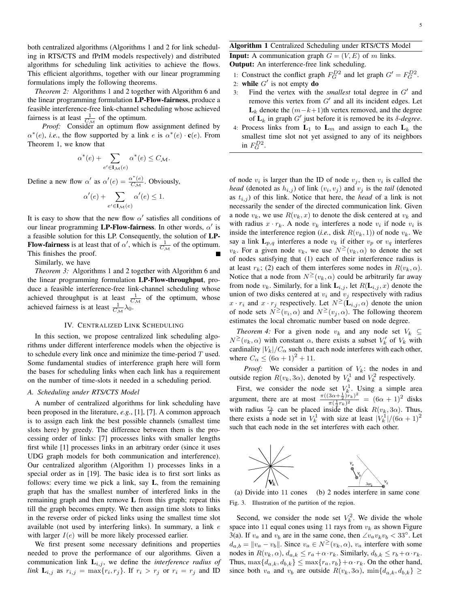both centralized algorithms (Algorithms 1 and 2 for link scheduling in RTS/CTS and fPrIM models respectively) and distributed algorithms for scheduling link activities to achieve the flows. This efficient algorithms, together with our linear programming formulations imply the following theorems.

*Theorem 2:* Algorithms 1 and 2 together with Algorithm 6 and the linear programming formulation LP-Flow-fairness, produce a feasible interference-free link-channel scheduling whose achieved fairness is at least  $\frac{1}{C_{\mathcal{M}}}$  of the optimum.

Proof: Consider an optimum flow assignment defined by  $\alpha^*(e)$ , *i.e.*, the flow supported by a link e is  $\alpha^*(e) \cdot \mathbf{c}(e)$ . From Theorem 1, we know that

$$
\alpha^*(e) + \sum_{e' \in \mathbf{I}_{\mathcal{M}}(e)} \alpha^*(e) \le C_{\mathcal{M}}.
$$

Define a new flow  $\alpha'$  as  $\alpha'(e) = \frac{\alpha^*(e)}{C_{\mathcal{M}}}$ . Obviously,

$$
\alpha'(e) + \sum_{e' \in \mathbf{I}_{\mathcal{M}}(e)} \alpha'(e) \le 1.
$$

It is easy to show that the new flow  $\alpha'$  satisfies all conditions of our linear programming LP-Flow-fairness. In other words,  $\alpha'$  is a feasible solution for this LP. Consequently, the solution of LP-**Flow-fairness** is at least that of  $\alpha'$ , which is  $\frac{1}{C_M}$  of the optimum. This finishes the proof.

Similarly, we have

*Theorem 3:* Algorithms 1 and 2 together with Algorithm 6 and the linear programming formulation LP-Flow-throughput, produce a feasible interference-free link-channel scheduling whose achieved throughput is at least  $\frac{1}{C_M}$  of the optimum, whose achieved fairness is at least  $\frac{1}{C_{\mathcal{M}}} \lambda_0$ .

#### IV. CENTRALIZED LINK SCHEDULING

In this section, we propose centralized link scheduling algorithms under different interference models when the objective is to schedule every link once and minimize the time-period  $T$  used. Some fundamental studies of interference graph here will form the bases for scheduling links when each link has a requirement on the number of time-slots it needed in a scheduling period.

# *A. Scheduling under RTS/CTS Model*

A number of centralized algorithms for link scheduling have been proposed in the literature, *e.g.*, [1], [7]. A common approach is to assign each link the best possible channels (smallest time slots here) by greedy. The difference between them is the processing order of links: [7] processes links with smaller lengths first while [1] processes links in an arbitrary order (since it uses UDG graph models for both communication and interference). Our centralized algorithm (Algorithm 1) processes links in a special order as in [19]. The basic idea is to first sort links as follows: every time we pick a link, say L, from the remaining graph that has the smallest number of interfered links in the remaining graph and then remove L from this graph; repeat this till the graph becomes empty. We then assign time slots to links in the reverse order of picked links using the smallest time slot available (not used by interfering links). In summary, a link e with larger  $I(e)$  will be more likely processed earlier.

We first present some necessary definitions and properties needed to prove the performance of our algorithms. Given a communication link  $L_{i,j}$ , we define the *interference radius of link*  $\mathbf{L}_{i,j}$  as  $r_{i,j} = \max\{r_i, r_j\}$ . If  $r_i > r_j$  or  $r_i = r_j$  and ID

# Algorithm 1 Centralized Scheduling under RTS/CTS Model

**Input:** A communication graph  $G = (V, E)$  of m links. Output: An interference-free link scheduling.

- 1: Construct the conflict graph  $F_G^{D2}$  and let graph  $G' = F_G^{D2}$ .
- 2: while  $G'$  is not empty do
- 3: Find the vertex with the *smallest* total degree in  $G'$  and remove this vertex from  $G'$  and all its incident edges. Let  $L_k$  denote the  $(m-k+1)$ th vertex removed, and the degree of  $L_k$  in graph  $G'$  just before it is removed be its  $\delta$ -degree.
- 4: Process links from  $L_1$  to  $L_m$  and assign to each  $L_k$  the smallest time slot not yet assigned to any of its neighbors in  $F_G^{D2}$ .

of node  $v_i$  is larger than the ID of node  $v_j$ , then  $v_i$  is called the *head* (denoted as  $h_{i,j}$ ) of link  $(v_i, v_j)$  and  $v_j$  is the *tail* (denoted as  $t_{i,j}$ ) of this link. Notice that here, the *head* of a link is not necessarily the sender of the directed communication link. Given a node  $v_k$ , we use  $R(v_k, x)$  to denote the disk centered at  $v_k$  and with radius  $x \cdot r_k$ . A node  $v_k$  interferes a node  $v_i$  if node  $v_i$  is inside the interference region (*i.e.*, disk  $R(v_k, 1)$ ) of node  $v_k$ . We say a link  $L_{p,q}$  interferes a node  $v_k$  if either  $v_p$  or  $v_q$  interferes  $v_k$ . For a given node  $v_k$ , we use  $N^{\geq}(v_k,\alpha)$  to denote the set of nodes satisfying that (1) each of their interference radius is at least  $r_k$ ; (2) each of them interferes some nodes in  $R(v_k, \alpha)$ . Notice that a node from  $N^{\geq}(v_k, \alpha)$  could be arbitrarily far away from node  $v_k$ . Similarly, for a link  $\mathbf{L}_{i,j}$ , let  $R(\mathbf{L}_{i,j},x)$  denote the union of two disks centered at  $v_i$  and  $v_j$  respectively with radius  $x \cdot r_i$  and  $x \cdot r_j$  respectively. Let  $N \geq (\mathbf{L}_{i,j}, \alpha)$  denote the union of node sets  $N^{\geq}(v_i, \alpha)$  and  $N^{\geq}(v_j, \alpha)$ . The following theorem estimates the local chromatic number based on node degree.

*Theorem 4:* For a given node  $v_k$  and any node set  $V_k \subseteq$  $N^{\geq}(v_k,\alpha)$  with constant  $\alpha$ , there exists a subset  $V'_k$  of  $V_k$  with cardinality  $|V_k|/C_\alpha$  such that each node interferes with each other, where  $C_{\alpha} \leq (6\alpha + 1)^2 + 11$ .

*Proof:* We consider a partition of  $V_k$ : the nodes in and outside region  $R(v_k, 3\alpha)$ , denoted by  $V_k^1$  and  $V_k^2$  respectively.

First, we consider the node set  $V_k^1$ . Using a simple area argument, there are at most  $\frac{\pi((3\alpha+\frac{1}{2})r_k)^2}{r(k-1)^2}$  $\frac{3\alpha + \frac{1}{2}r_k^2}{\pi(\frac{1}{2}r_k)^2} = (6\alpha + 1)^2$  disks with radius  $\frac{r_k}{2}$  can be placed inside the disk  $R(v_k, 3\alpha)$ . Thus, there exists a node set in  $V_k^1$  with size at least  $|V_k^1|/(6\alpha+1)^2$ such that each node in the set interferes with each other.



(a) Divide into 11 cones (b) 2 nodes interfere in same cone Fig. 3. Illustration of the partition of the region.

Second, we consider the node set  $V_k^2$ . We divide the whole space into 11 equal cones using 11 rays from  $v_k$  as shown Figure 3(a). If  $v_a$  and  $v_b$  are in the same cone, then  $\angle v_a v_k v_b < 33^\circ$ . Let  $d_{a,b} = ||v_a - v_b||$ . Since  $v_a \in N^{\geq}(v_k, \alpha)$ ,  $v_a$  interfere with some nodes in  $R(v_k, \alpha)$ ,  $d_{a,k} \leq r_a + \alpha \cdot r_k$ . Similarly,  $d_{b,k} \leq r_b + \alpha \cdot r_k$ . Thus,  $\max\{d_{a,k}, d_{b,k}\}\leq \max\{r_a, r_b\} + \alpha \cdot r_k$ . On the other hand, since both  $v_a$  and  $v_b$  are outside  $R(v_k, 3\alpha)$ ,  $\min\{d_{a,k}, d_{b,k}\}\geq$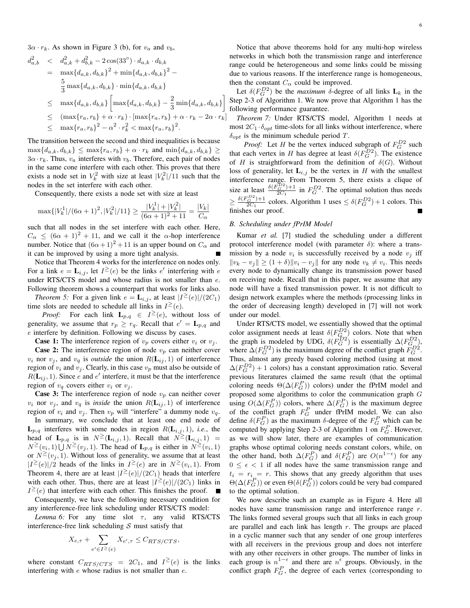$3\alpha \cdot r_k$ . As shown in Figure 3 (b), for  $v_a$  and  $v_b$ ,

$$
d_{a,b}^2 < d_{a,k}^2 + d_{b,k}^2 - 2\cos(33^\circ) \cdot d_{a,k} \cdot d_{b,k}
$$
\n
$$
= \max\{d_{a,k}, d_{b,k}\}^2 + \min\{d_{a,k}, d_{b,k}\}^2 - \frac{5}{3}\max\{d_{a,k}, d_{b,k}\} \cdot \min\{d_{a,k}, d_{b,k}\}
$$
\n
$$
\leq \max\{d_{a,k}, d_{b,k}\} \left[\max\{d_{a,k}, d_{b,k}\} - \frac{2}{3}\min\{d_{a,k}, d_{b,k}\}\right]
$$
\n
$$
\leq (\max\{r_a, r_b\} + \alpha \cdot r_k) \cdot [\max\{r_a, r_b\} + \alpha \cdot r_k - 2\alpha \cdot r_k]
$$
\n
$$
\leq \max\{r_a, r_b\}^2 - \alpha^2 \cdot r_k^2 < \max\{r_a, r_b\}^2.
$$

The transition between the second and third inequalities is because  $\max\{d_{a,k}, d_{b,k}\} \leq \max\{r_a, r_b\} + \alpha \cdot r_k$  and  $\min\{d_{a,k}, d_{b,k}\} \geq$  $3\alpha \cdot r_k$ . Thus,  $v_a$  interferes with  $v_b$ . Therefore, each pair of nodes in the same cone interfere with each other. This proves that there exists a node set in  $V_k^2$  with size at least  $|V_k^2|/11$  such that the nodes in the set interfere with each other.

Consequently, there exists a node set with size at least

$$
\max\{|V_k^1|/(6\alpha+1)^2, |V_k^2|/11\} \geq \frac{|V_k^1|+|V_k^2|}{(6\alpha+1)^2+11} = \frac{|V_k|}{C_\alpha}
$$

such that all nodes in the set interfere with each other. Here,  $C_{\alpha} \leq (6\alpha + 1)^2 + 11$ , and we call it the  $\alpha$ -hop interference number. Notice that  $(6\alpha + 1)^2 + 11$  is an upper bound on  $C_{\alpha}$  and it can be improved by using a more tight analysis.

Notice that Theorem 4 works for the interference on nodes only. For a link  $e = \mathbf{L}_{i,j}$ , let  $I^{\geq}(e)$  be the links  $e'$  interfering with  $e$ under RTS/CTS model and whose radius is not smaller than e. Following theorem shows a counterpart that works for links also.

*Theorem 5:* For a given link  $e = \mathbf{L}_{i,j}$ , at least  $|I^{\geq}(e)|/(2C_1)$ time slots are needed to schedule all links in  $I^{\geq}(e)$ .

*Proof:* For each link  $\mathbf{L}_{p,q} \in I^{\geq}(e)$ , without loss of generality, we assume that  $r_p \ge r_q$ . Recall that  $e' = \mathbf{L}_{p,q}$  and e interfere by definition. Following we discuss by cases.

**Case 1:** The interference region of  $v_p$  covers either  $v_i$  or  $v_j$ .

**Case 2:** The interference region of node  $v_p$  can neither cover  $v_i$  nor  $v_j$ , and  $v_q$  is *outside* the union  $R(L_{ij}, 1)$  of interference region of  $v_i$  and  $v_j$ . Clearly, in this case  $v_p$  must also be outside of  $R(\mathbf{L}_{ij}, 1)$ . Since e and e' interfere, it must be that the interference region of  $v_q$  covers either  $v_i$  or  $v_j$ .

**Case 3:** The interference region of node  $v_p$  can neither cover  $v_i$  nor  $v_j$ , and  $v_q$  is *inside* the union  $R(L_{ij}, 1)$  of interference region of  $v_i$  and  $v_j$ . Then  $v_p$  will "interfere" a dummy node  $v_q$ .

In summary, we conclude that at least one end node of  $L_{p,q}$  interferes with some nodes in region  $R(L_{i,j}, 1)$ , *i.e.*, the head of  $\mathbf{L}_{p,q}$  is in  $N^{\geq}(\mathbf{L}_{i,j}, 1)$ . Recall that  $N^{\geq}(\mathbf{L}_{i,j}, 1)$  =  $N^{\geq}(v_i, 1) \bigcup N^{\geq}(v_j, 1)$ . The head of  $\mathbf{L}_{p,q}$  is either in  $N^{\geq}(v_i, 1)$ or  $N^{\geq}(v_j, 1)$ . Without loss of generality, we assume that at least  $|I^{\geq}(e)|/2$  heads of the links in  $I^{\geq}(e)$  are in  $N^{\geq}(v_i, 1)$ . From Theorem 4, there are at least  $|I^{\geq}(e)|/(2C_1)$  heads that interfere with each other. Thus, there are at least  $|I^{\geq}(e)|/(2C_1)$  links in  $I^{\geq}(e)$  that interfere with each other. This finishes the proof. п

Consequently, we have the following necessary condition for any interference-free link scheduling under RTS/CTS model:

*Lemma 6:* For any time slot  $\tau$ , any valid RTS/CTS interference-free link scheduling  $S$  must satisfy that

$$
X_{e,\tau} + \sum_{e' \in I^{\geq}(e)} X_{e',\tau} \leq C_{RTS/CTS},
$$

where constant  $C_{RTS/CTS} = 2C_1$ , and  $I^{\geq}(e)$  is the links interfering with e whose radius is not smaller than e.

Notice that above theorems hold for any multi-hop wireless networks in which both the transmission range and interference range could be heterogeneous and some links could be missing due to various reasons. If the interference range is homogeneous, then the constant  $C_{\alpha}$  could be improved.

Let  $\delta(F_G^{D2})$  be the *maximum*  $\delta$ -degree of all links  $\mathbf{L}_k$  in the Step 2-3 of Algorithm 1. We now prove that Algorithm 1 has the following performance guarantee.

*Theorem 7:* Under RTS/CTS model, Algorithm 1 needs at most  $2C_1 \cdot \delta_{opt}$  time-slots for all links without interference, where  $\delta_{opt}$  is the minimum schedule period T.

*Proof:* Let *H* be the vertex induced subgraph of  $F_G^{D2}$  such that each vertex in H has degree at least  $\delta(F_G^{D2})$ . The existence of H is straightforward from the definition of  $\delta(G)$ . Without loss of generality, let  $L_{i,j}$  be the vertex in H with the smallest interference range. From Theorem 5, there exists a clique of size at least  $\frac{\delta(F_G^{\overline{D}2})+1}{2C_1}$  in  $F_G^{D2}$ . The optimal solution thus needs  $\geq \frac{\delta(F_G^{D2})+1}{2C_1}$  colors. Algorithm 1 uses  $\leq \delta(F_G^{D2})+1$  colors. This finishes our proof.

# *B. Scheduling under fPrIM Model*

Kumar *et al.* [7] studied the scheduling under a different protocol interference model (with parameter  $\delta$ ): where a transmission by a node  $v_i$  is successfully received by a node  $v_j$  iff  $||v_k - v_j|| \ge (1 + \delta) ||v_i - v_j||$  for any node  $v_k \ne v_i$ . This needs every node to dynamically change its transmission power based on receiving node. Recall that in this paper, we assume that any node will have a fixed transmission power. It is not difficult to design network examples where the methods (processing links in the order of decreasing length) developed in [7] will not work under our model.

Under RTS/CTS model, we essentially showed that the optimal color assignment needs at least  $\delta(F_{Q_2}^{D2})$  colors. Note that when the graph is modeled by UDG,  $\delta(F_Q^{D2})$  is essentially  $\Delta(F_{G}^{D2})$ , where  $\Delta(F_G^{D2})$  is the maximum degree of the conflict graph  $\tilde{F}_G^{D2}$ . Thus, almost any greedy based coloring method (using at most  $\Delta(F_G^{D2})$  + 1 colors) has a constant approximation ratio. Several previous literatures claimed the same result (that the optimal coloring needs  $\Theta(\Delta(F_G^P))$  colors) under the fPrIM model and proposed some algorithms to color the communication graph G using  $O(\Delta(F_G^P))$  colors, where  $\Delta(F_G^P)$  is the maximum degree of the conflict graph  $F_G^P$  under fPrIM model. We can also define  $\delta(F_G^P)$  as the maximum  $\delta$ -degree of the  $F_G^P$  which can be computed by applying Step 2-3 of Algorithm 1 on  $F_G^P$ . However, as we will show later, there are examples of communication graphs whose optimal coloring needs constant colors, while, on the other hand, both  $\Delta(F_G^P)$  and  $\delta(F_G^P)$  are  $O(n^{1-\epsilon})$  for any  $0 \leq \epsilon < 1$  if all nodes have the same transmission range and  $t_i = r_i = r$ . This shows that any greedy algorithm that uses  $\Theta(\Delta(F_G^P))$  or even  $\Theta(\delta(F_G^P))$  colors could be very bad compared to the optimal solution.

We now describe such an example as in Figure 4. Here all nodes have same transmission range and interference range r. The links formed several groups such that all links in each group are parallel and each link has length  $r$ . The groups are placed in a cyclic manner such that any sender of one group interferes with all receivers in the previous group and does not interfere with any other receivers in other groups. The number of links in each group is  $n^{1-\epsilon}$  and there are  $n^{\epsilon}$  groups. Obviously, in the conflict graph  $F_G^P$ , the degree of each vertex (corresponding to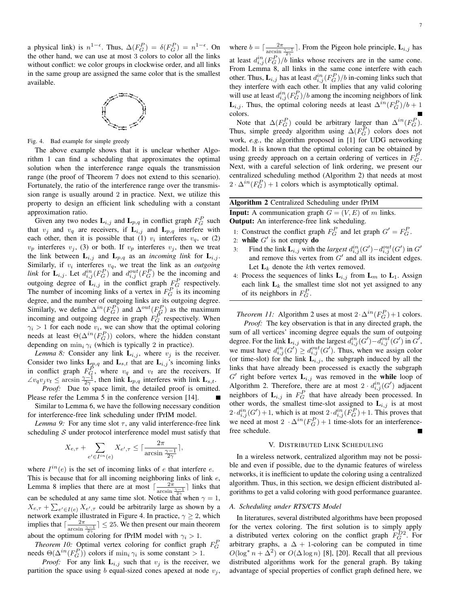a physical link) is  $n^{1-\epsilon}$ . Thus,  $\Delta(F_G^P) = \delta(F_G^P) = n^{1-\epsilon}$ . On the other hand, we can use at most 3 colors to color all the links without conflict: we color groups in clockwise order, and all links in the same group are assigned the same color that is the smallest available.



Fig. 4. Bad example for simple greedy

The above example shows that it is unclear whether Algorithm 1 can find a scheduling that approximates the optimal solution when the interference range equals the transmission range (the proof of Theorem 7 does not extend to this scenario). Fortunately, the ratio of the interference range over the transmission range is usually around 2 in practice. Next, we utilize this property to design an efficient link scheduling with a constant approximation ratio.

Given any two nodes  $\mathbf{L}_{i,j}$  and  $\mathbf{L}_{p,q}$  in conflict graph  $F_G^P$  such that  $v_j$  and  $v_q$  are receivers, if  $\mathbf{L}_{i,j}$  and  $\mathbf{L}_{p,q}$  interfere with each other, then it is possible that (1)  $v_i$  interferes  $v_q$ , or (2)  $v_p$  interferes  $v_j$ , (3) or both. If  $v_p$  interferes  $v_j$ , then we treat the link between  $L_{i,j}$  and  $L_{p,q}$  as an *incoming link* for  $L_{i,j}$ . Similarly, if  $v_i$  interferes  $v_q$ , we treat the link as an *outgoing* link for  $\mathbf{L}_{i,j}$ . Let  $d_{i,j}^{in}(F_G^P)$  and  $d_{i,j}^{out}(F_G^P)$  be the incoming and outgoing degree of  $\mathbf{L}_{i,j}$  in the conflict graph  $F_G^P$  respectively. The number of incoming links of a vertex in  $F_G^P$  is its incoming degree, and the number of outgoing links are its outgoing degree. Similarly, we define  $\Delta^{in}(F_G^P)$  and  $\Delta^{out}(F_G^P)$  as the maximum incoming and outgoing degree in graph  $F_G^{\overrightarrow{P}}$  respectively. When  $\gamma_i > 1$  for each node  $v_i$ , we can show that the optimal coloring needs at least  $\Theta(\Delta^{in}(F_G^P))$  colors, where the hidden constant depending on  $\min_i \gamma_i$  (which is typically 2 in practice).

*Lemma 8:* Consider any link  $\mathbf{L}_{i,j}$ , where  $v_j$  is the receiver. Consider two links  $\mathbf{L}_{p,q}$  and  $\mathbf{L}_{s,t}$  that are  $\mathbf{L}_{i,j}$ 's incoming links in conflict graph  $F_Q^{\hat{P}}$ , where  $v_q$  and  $v_t$  are the receivers. If  $\angle v_q v_j v_t \le \arcsin \frac{\gamma - 1}{2\gamma}$ , then link  $\mathbf{L}_{p,q}$  interferes with link  $\mathbf{L}_{s,t}$ .

*Proof:* Due to space limit, the detailed proof is omitted. Please refer the Lemma 5 in the conference version [14].

Similar to Lemma 6, we have the following necessary condition for interference-free link scheduling under fPrIM model.

*Lemma 9:* For any time slot  $\tau$ , any valid interference-free link scheduling  $S$  under protocol interference model must satisfy that

$$
X_{e,\tau} + \sum_{e' \in I^{in}(e)} X_{e',\tau} \le \lceil \frac{2\pi}{\arcsin \frac{\gamma - 1}{2\gamma}} \rceil,
$$

where  $I^{in}(e)$  is the set of incoming links of e that interfere e. This is because that for all incoming neighboring links of link  $e$ , Lemma 8 implies that there are at most  $\lceil \frac{2\pi}{\arcsin \frac{\gamma-1}{2\gamma}} \rceil$  links that can be scheduled at any same time slot. Notice that when  $\gamma = 1$ ,  $X_{e,\tau} + \sum_{e' \in I(e)} X_{e',\tau}$  could be arbitrarily large as shown by a network example illustrated in Figure 4. In practice,  $\gamma \geq 2$ , which implies that  $\lceil \frac{2\pi}{\arcsin \frac{\gamma-1}{2\gamma}} \rceil \leq 25$ . We then present our main theorem about the optimum coloring for fPrIM model with  $\gamma_i > 1$ .

*Theorem 10:* Optimal vertex coloring for conflict graph  $F_G^P$ needs  $\Theta(\Delta^{in}(F_G^P))$  colors if  $\min_i \gamma_i$  is some constant > 1.

*Proof:* For any link  $\mathbf{L}_{i,j}$  such that  $v_j$  is the receiver, we partition the space using b equal-sized cones apexed at node  $v_i$ ,

where  $b = \lceil \frac{2\pi}{\arcsin \frac{\gamma - 1}{2\gamma}} \rceil$ . From the Pigeon hole principle,  $\mathbf{L}_{i,j}$  has at least  $d_{i,j}^{in}(F_G^P)/b$  links whose receivers are in the same cone. From Lemma 8, all links in the same cone interfere with each other. Thus,  $\mathbf{L}_{i,j}$  has at least  $d_{i,j}^{in}(F_G^P)/b$  in-coming links such that they interfere with each other. It implies that any valid coloring will use at least  $d_{i,j}^{in}(F_G^P)/b$  among the incoming neighbors of link  $\mathbf{L}_{i,j}$ . Thus, the optimal coloring needs at least  $\Delta^{in}(F_G^P)/b+1$ colors.

Note that  $\Delta(F_G^P)$  could be arbitrary larger than  $\Delta^{in}(F_G^P)$ . Thus, simple greedy algorithm using  $\Delta(F_G^P)$  colors does not work, *e.g.*, the algorithm proposed in [1] for UDG networking model. It is known that the optimal coloring can be obtained by using greedy approach on a certain ordering of vertices in  $F_G^P$ . Next, with a careful selection of link ordering, we present our centralized scheduling method (Algorithm 2) that needs at most  $2 \cdot \Delta^{in}(F_G^P) + 1$  colors which is asymptotically optimal.

Algorithm 2 Centralized Scheduling under fPrIM **Input:** A communication graph  $G = (V, E)$  of m links. Output: An interference-free link scheduling.

- 1: Construct the conflict graph  $F_G^P$  and let graph  $G' = F_G^P$ .
- 2: while  $G'$  is not empty do
- 3: Find the link  $\mathbf{L}_{i,j}$  with the *largest*  $d_{i,j}^{in}(G') d_{i,j}^{out}(G')$  in  $G'$ and remove this vertex from  $G'$  and all its incident edges. Let  $L_k$  denote the kth vertex removed.
- 4: Process the sequences of links  $L_{i,j}$  from  $L_m$  to  $L_1$ . Assign each link  $L_k$  the smallest time slot not yet assigned to any of its neighbors in  $F_G^P$ .

*Theorem 11:* Algorithm 2 uses at most  $2 \cdot \Delta^{in}(F_G^P) + 1$  colors.

*Proof:* The key observation is that in any directed graph, the sum of all vertices' incoming degree equals the sum of outgoing degree. For the link  $\mathbf{L}_{i,j}$  with the largest  $d_{i,j}^{in}(G') - d_{i,j}^{out}(G')$  in  $G'$ , we must have  $d_{i,j}^{in}(G') \geq d_{i,j}^{out}(G')$ . Thus, when we assign color (or time-slot) for the link  $\mathbf{L}_{i,j}$ , the subgraph induced by all the links that have already been processed is exactly the subgraph  $G'$  right before vertex  $\mathbf{L}_{i,j}$  was removed in the while loop of Algorithm 2. Therefore, there are at most  $2 \cdot d_{i,j}^{in}(G')$  adjacent neighbors of  $\mathbf{L}_{i,j}$  in  $F_G^P$  that have already been processed. In other words, the smallest time-slot assigned to  $L_{i,j}$  is at most  $2 \cdot d_{i,j}^{in}(G') + 1$ , which is at most  $2 \cdot d_{i,j}^{in}(F_G^P) + 1$ . This proves that we need at most  $2 \cdot \Delta^{in}(F_G^P) + 1$  time-slots for an interferencefree schedule.

#### V. DISTRIBUTED LINK SCHEDULING

In a wireless network, centralized algorithm may not be possible and even if possible, due to the dynamic features of wireless networks, it is inefficient to update the coloring using a centralized algorithm. Thus, in this section, we design efficient distributed algorithms to get a valid coloring with good performance guarantee.

# *A. Scheduling under RTS/CTS Model*

In literatures, several distributed algorithms have been proposed for the vertex coloring. The first solution is to simply apply a distributed vertex coloring on the conflict graph  $F_G^{D2}$ . For arbitrary graphs, a  $\Delta$  + 1-coloring can be computed in time  $O(\log^* n + \Delta^2)$  or  $O(\Delta \log n)$  [8], [20]. Recall that all previous distributed algorithms work for the general graph. By taking advantage of special properties of conflict graph defined here, we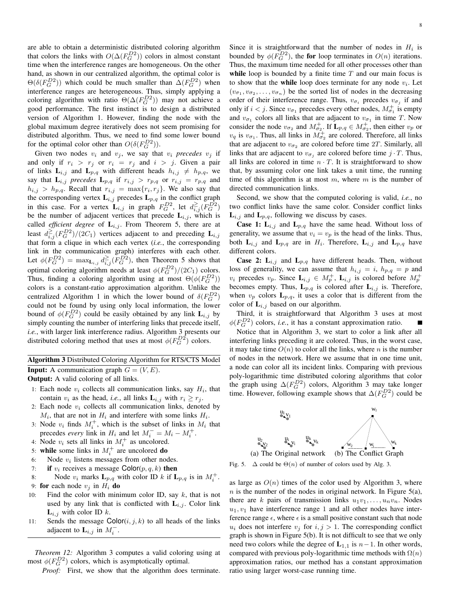are able to obtain a deterministic distributed coloring algorithm that colors the links with  $O(\Delta(F_G^{D2}))$  colors in almost constant time when the interference ranges are homogeneous. On the other hand, as shown in our centralized algorithm, the optimal color is  $\Theta(\delta(F_G^{D2}))$  which could be much smaller than  $\Delta(F_G^{D2})$  when interference ranges are heterogeneous. Thus, simply applying a coloring algorithm with ratio  $\Theta(\Delta(F_G^{D2}))$  may not achieve a good performance. The first instinct is to design a distributed version of Algorithm 1. However, finding the node with the global maximum degree iteratively does not seem promising for distributed algorithm. Thus, we need to find some lower bound for the optimal color other than  $O(\delta(F_G^{D2}))$ .

Given two nodes  $v_i$  and  $v_j$ , we say that  $v_i$  *precedes*  $v_j$  if and only if  $r_i > r_j$  or  $r_i = r_j$  and  $i > j$ . Given a pair of links  $\mathbf{L}_{i,j}$  and  $\mathbf{L}_{p,q}$  with different heads  $h_{i,j} \neq h_{p,q}$ , we say that  $\mathbf{L}_{i,j}$  *precedes*  $\mathbf{L}_{p,q}$  if  $r_{i,j} > r_{p,q}$  or  $r_{i,j} = r_{p,q}$  and  $h_{i,j} > h_{p,q}$ . Recall that  $r_{i,j} = \max\{r_i, r_j\}$ . We also say that the corresponding vertex  $\mathbf{L}_{i,j}$  precedes  $\mathbf{L}_{p,q}$  in the conflict graph in this case. For a vertex  $\mathbf{L}_{i,j}$  in graph  $F_G^{D2}$ , let  $d_{i,j}^{\geq}(F_G^{D2})$ be the number of adjacent vertices that precede  $\mathbf{L}_{i,j}$ , which is called *efficient degree* of  $\mathbf{L}_{i,j}$ . From Theorem 5, there are at least  $d_{i,j}^{\geq}(F_G^{D2})/(2C_1)$  vertices adjacent to and preceding  $\mathbf{L}_{i,j}$ that form a clique in which each vertex (*i.e.*, the corresponding link in the communication graph) interferes with each other. Let  $\phi(F_G^{D2}) = \max_{\mathbf{L}_{i,j}} d_{i,j}^{\geq} (F_G^{D2})$ , then Theorem 5 shows that optimal coloring algorithm needs at least  $\phi(F_G^{D2})/(2C_1)$  colors. Thus, finding a coloring algorithm using at most  $\Theta(\phi(F_G^{D2}))$ colors is a constant-ratio approximation algorithm. Unlike the centralized Algorithm 1 in which the lower bound of  $\delta(F_G^{D2})$ could not be found by using only local information, the lower bound of  $\phi(F_G^{D2})$  could be easily obtained by any link  $\mathbf{L}_{i,j}$  by simply counting the number of interfering links that precede itself, *i.e.*, with larger link interference radius. Algorithm 3 presents our distributed coloring method that uses at most  $\phi(F_G^{D2})$  colors.

# Algorithm 3 Distributed Coloring Algorithm for RTS/CTS Model **Input:** A communication graph  $G = (V, E)$ .

Output: A valid coloring of all links.

- 1: Each node  $v_i$  collects all communication links, say  $H_i$ , that contain  $v_i$  as the head, *i.e.*, all links  $\mathbf{L}_{i,j}$  with  $r_i \geq r_j$ .
- 2: Each node  $v_i$  collects all communication links, denoted by  $M_i$ , that are not in  $H_i$  and interfere with some links  $H_i$ .
- 3: Node  $v_i$  finds  $M_i^+$ , which is the subset of links in  $M_i$  that precedes *every* link in  $H_i$  and let  $M_i^- = M_i - M_i^+$ .
- 4: Node  $v_i$  sets all links in  $M_i^+$  as uncolored.
- 5: while some links in  $M_i^+$  are uncolored do
- 6: Node  $v_i$  listens messages from other nodes.
- 7: if  $v_i$  receives a message Color( $p, q, k$ ) then
- 8: Node  $v_i$  marks  $\mathbf{L}_{p,q}$  with color ID k if  $\mathbf{L}_{p,q}$  is in  $M_i^+$ . 9: for each node  $v_i$  in  $H_i$  do
- 10: Find the color with minimum color ID, say  $k$ , that is not used by any link that is conflicted with  $L_{i,j}$ . Color link  $L_{i,j}$  with color ID k.
- 11: Sends the message  $\text{Color}(i, j, k)$  to all heads of the links adjacent to  $\mathbf{L}_{i,j}$  in  $M_i^-$ .

*Theorem 12:* Algorithm 3 computes a valid coloring using at most  $\phi(F_G^{D2})$  colors, which is asymptotically optimal.

*Proof:* First, we show that the algorithm does terminate.

Since it is straightforward that the number of nodes in  $H_i$  is bounded by  $\phi(F_G^{D2})$ , the for loop terminates in  $O(n)$  iterations. Thus, the maximum time needed for all other processes other than while loop is bounded by a finite time  $T$  and our main focus is to show that the while loop does terminate for any node  $v_i$ . Let  $(v_{\sigma_1}, v_{\sigma_2}, \dots, v_{\sigma_n})$  be the sorted list of nodes in the decreasing order of their interference range. Thus,  $v_{\sigma_i}$  precedes  $v_{\sigma_j}$  if and only if  $i < j$ . Since  $v_{\sigma_1}$  precedes every other nodes,  $M_{\sigma_1}^+$  is empty and  $v_{\sigma_1}$  colors all links that are adjacent to  $v_{\sigma_1}$  in time T. Now consider the node  $v_{\sigma_2}$  and  $M^+_{\sigma_2}$ . If  $\mathbf{L}_{p,q} \in M^+_{\sigma_2}$ , then either  $v_p$  or  $v_q$  is  $v_{\sigma_1}$ . Thus, all links in  $M_{\sigma_2}^+$  are colored. Therefore, all links that are adjacent to  $v_{\sigma_2}$  are colored before time 2T. Similarly, all links that are adjacent to  $v_{\sigma_i}$  are colored before time  $j \cdot T$ . Thus, all links are colored in time  $n \cdot T$ . It is straightforward to show that, by assuming color one link takes a unit time, the running time of this algorithm is at most  $m$ , where  $m$  is the number of directed communication links.

Second, we show that the computed coloring is valid, *i.e.*, no two conflict links have the same color. Consider conflict links  $\mathbf{L}_{i,j}$  and  $\mathbf{L}_{p,q}$ , following we discuss by cases.

**Case 1:**  $L_{i,j}$  and  $L_{p,q}$  have the same head. Without loss of generality, we assume that  $v_i = v_p$  is the head of the links. Thus, both  $\mathbf{L}_{i,j}$  and  $\mathbf{L}_{p,q}$  are in  $H_i$ . Therefore,  $\mathbf{L}_{i,j}$  and  $\mathbf{L}_{p,q}$  have different colors.

**Case 2:**  $L_{i,j}$  and  $L_{p,q}$  have different heads. Then, without loss of generality, we can assume that  $h_{i,j} = i$ ,  $h_{p,q} = p$  and  $v_i$  precedes  $v_p$ . Since  $\mathbf{L}_{i,j} \in M_p^+$ ,  $\mathbf{L}_{i,j}$  is colored before  $M_p^+$ becomes empty. Thus,  $L_{p,q}$  is colored after  $L_{i,j}$  is. Therefore, when  $v_p$  colors  $\mathbf{L}_{p,q}$ , it uses a color that is different from the color of  $L_{i,j}$  based on our algorithm.

Third, it is straightforward that Algorithm 3 uses at most  $\phi(F_G^{D2})$  colors, *i.e.*, it has a constant approximation ratio.

Notice that in Algorithm 3, we start to color a link after all interfering links preceding it are colored. Thus, in the worst case, it may take time  $O(n)$  to color all the links, where n is the number of nodes in the network. Here we assume that in one time unit, a node can color all its incident links. Comparing with previous poly-logarithmic time distributed coloring algorithms that color the graph using  $\Delta(F_G^{D2})$  colors, Algorithm 3 may take longer time. However, following example shows that  $\Delta(F_G^{D2})$  could be



Fig. 5.  $\Delta$  could be  $\Theta(n)$  of number of colors used by Alg. 3.

as large as  $O(n)$  times of the color used by Algorithm 3, where  $n$  is the number of the nodes in original network. In Figure 5(a), there are k pairs of transmission links  $u_1v_1, \ldots, u_nv_n$ . Nodes  $u_1, v_1$  have interference range 1 and all other nodes have interference range  $\epsilon$ , where  $\epsilon$  is a small positive constant such that node  $u_i$  does not interfere  $v_j$  for  $i, j > 1$ . The corresponding conflict graph is shown in Figure 5(b). It is not difficult to see that we only need two colors while the degree of  $L_{1,1}$  is  $n-1$ . In other words, compared with previous poly-logarithmic time methods with  $\Omega(n)$ approximation ratios, our method has a constant approximation ratio using larger worst-case running time.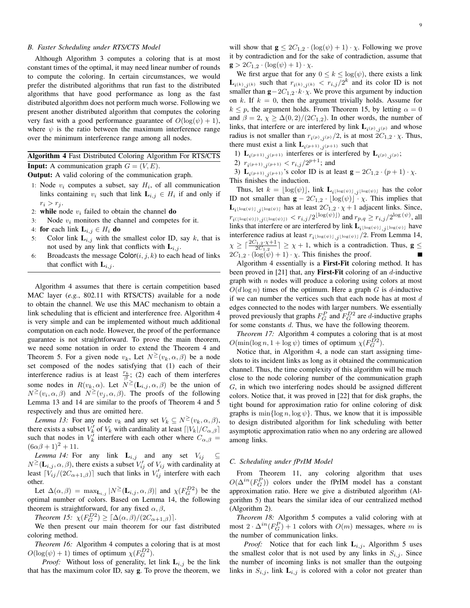# *B. Faster Scheduling under RTS/CTS Model*

Although Algorithm 3 computes a coloring that is at most constant times of the optimal, it may need linear number of rounds to compute the coloring. In certain circumstances, we would prefer the distributed algorithms that run fast to the distributed algorithms that have good performance as long as the fast distributed algorithm does not perform much worse. Following we present another distributed algorithm that computes the coloring very fast with a good performance guarantee of  $O(log(\psi) + 1)$ , where  $\psi$  is the ratio between the maximum interference range over the minimum interference range among all nodes.

Algorithm 4 Fast Distributed Coloring Algorithm For RTS/CTS **Input:** A communication graph  $G = (V, E)$ .

Output: A valid coloring of the communication graph.

- 1: Node  $v_i$  computes a subset, say  $H_i$ , of all communication links containing  $v_i$  such that link  $\mathbf{L}_{i,j} \in H_i$  if and only if  $r_i > r_j$ .
- 2: while node  $v_i$  failed to obtain the channel **do**
- 3: Node  $v_i$  monitors the channel and competes for it.
- 4: for each link  $L_{i,j} \in H_i$  do
- 5: Color link  $\mathbf{L}_{i,j}$  with the smallest color ID, say k, that is not used by any link that conflicts with  $L_{i,j}$ .
- 6: Broadcasts the message  $\text{Color}(i, j, k)$  to each head of links that conflict with  $L_{i,j}$ .

Algorithm 4 assumes that there is certain competition based MAC layer (*e.g.*, 802.11 with RTS/CTS) available for a node to obtain the channel. We use this MAC mechanism to obtain a link scheduling that is efficient and interference free. Algorithm 4 is very simple and can be implemented without much additional computation on each node. However, the proof of the performance guarantee is not straightforward. To prove the main theorem, we need some notation in order to extend the Theorem 4 and Theorem 5. For a given node  $v_k$ , Let  $N^{\geq}(v_k, \alpha, \beta)$  be a node set composed of the nodes satisfying that (1) each of their interference radius is at least  $\frac{r_k}{\beta}$ ; (2) each of them interferes some nodes in  $R(v_k, \alpha)$ . Let  $N^{\geq}(\mathbf{L}_{i,j}, \alpha, \beta)$  be the union of  $N^{\geq}(v_i,\alpha,\beta)$  and  $N^{\geq}(v_j,\alpha,\beta)$ . The proofs of the following Lemma 13 and 14 are similar to the proofs of Theorem 4 and 5 respectively and thus are omitted here.

*Lemma 13:* For any node  $v_k$  and any set  $V_k \subseteq N^{\geq}(v_k, \alpha, \beta)$ , there exists a subset  $V'_k$  of  $V_k$  with cardinality at least  $\lceil |V_k|/C_{\alpha,\beta}|\rceil$ such that nodes in  $V_k^j$  interfere with each other where  $C_{\alpha,\beta} =$  $(6\alpha\beta + 1)^2 + 11.$ 

*Lemma 14:* For any link  $\mathbf{L}_{i,j}$  and any set  $V_{ij} \subseteq$  $N^{\geq}(\mathbf{L}_{i,j}, \alpha, \beta)$ , there exists a subset  $V'_{ij}$  of  $V_{ij}$  with cardinality at least  $\lceil \tilde{V}_{ij}/(2C_{\alpha+1,\beta}) \rceil$  such that links in  $V'_{ij}$  interfere with each other.

Let  $\Delta(\alpha, \beta) = \max_{\mathbf{L}_{i,j}} |N^{\geq}(\mathbf{L}_{i,j}, \alpha, \beta)|$  and  $\chi(F_G^{D2})$  be the optimal number of colors. Based on Lemma 14, the following theorem is straightforward, for any fixed  $\alpha$ ,  $\beta$ ,

*Theorem 15:*  $\chi(F_G^{D2}) \geq [\Delta(\alpha, \beta)/(2C_{\alpha+1,\beta})]$ .

We then present our main theorem for our fast distributed coloring method.

*Theorem 16:* Algorithm 4 computes a coloring that is at most  $O(\log(\psi) + 1)$  times of optimum  $\chi(F_G^{D2})$ .

*Proof:* Without loss of generality, let link  $L_{i,j}$  be the link that has the maximum color ID, say g. To prove the theorem, we

will show that  $\mathbf{g} \leq 2C_{1,2} \cdot (\log(\psi) + 1) \cdot \chi$ . Following we prove it by contradiction and for the sake of contradiction, assume that  $g > 2C_{1,2} \cdot (\log(\psi) + 1) \cdot \chi.$ 

We first argue that for any  $0 \le k \le \log(\psi)$ , there exists a link  $\mathbf{L}_{i^{(k)},j^{(k)}}$  such that  $r_{i^{(k)},j^{(k)}} < r_{i,j}/2^k$  and its color ID is not smaller than  $\mathbf{g} - 2C_{1,2} \cdot k \cdot \chi$ . We prove this argument by induction on k. If  $k = 0$ , then the argument trivially holds. Assume for  $k \leq p$ , the argument holds. From Theorem 15, by letting  $\alpha = 0$ and  $\beta = 2$ ,  $\chi \ge \Delta(0, 2)/(2C_{1,2})$ . In other words, the number of links, that interfere or are interfered by link  $\mathbf{L}_{i^{(p)},j^{(p)}}$  and whose radius is not smaller than  $r_{i(p),j(p)}/2$ , is at most  $2C_{1,2} \cdot \chi$ . Thus, there must exist a link  $\mathbf{L}_{i^{(p+1)},j^{(p+1)}}$  such that

1)  $\mathbf{L}_{i^{(p+1)},j^{(p+1)}}$  interferes or is interfered by  $\mathbf{L}_{i^{(p)},j^{(p)}}$ ;

2)  $r_{i(p+1),j(p+1)} < r_{i,j}/2^{p+1}$ ; and

3)  $\mathbf{L}_{i^{(p+1)},j^{(p+1)}}$ 's color ID is at least  $\mathbf{g} - 2C_{1,2} \cdot (p+1) \cdot \chi$ . This finishes the induction.

Thus, let  $k = \lfloor \log(\psi) \rfloor$ , link  $\mathbf{L}_{i\lfloor \log(\psi) \rfloor,j\lfloor \log(\psi) \rfloor}$  has the color ID not smaller than  $\mathbf{g} - 2C_{1,2} \cdot \lfloor \log(\psi) \rfloor^2$ . This implies that  $\mathbf{L}_{i^{\lfloor \log(\psi) \rfloor},j^{\lfloor \log(\psi) \rfloor}}$  has at least  $2C_{1,2} \cdot \chi + 1$  adjacent links. Since,  $r_{i(\lfloor\log(\psi)\rfloor),j(\lfloor\log(\psi)\rfloor)} < r_{i,j}/2^{\lfloor\log(\psi)\rfloor}$  and  $r_{p,q} \ge r_{i,j}/2^{\log(\psi)}$ , all links that interfere or are interfered by link  $\mathbf{L}_{i^{\lfloor \log(\psi) \rfloor},j^{\lfloor \log(\psi) \rfloor}}$  have interference radius at least  $r_{i\lfloor \log(\psi) \rfloor, j\lfloor \log(\psi) \rfloor}/2$ . From Lemma 14,  $\chi \geq \lceil \frac{2C_{1,2} \cdot \chi + 1}{2C_{1,2}} \rceil \geq \chi + 1$ , which is a contradiction. Thus,  $g \leq$  $2C_{1,2} \cdot (\log(\psi) + 1) \cdot \chi$ . This finishes the proof.

Algorithm 4 essentially is a First-Fit coloring method. It has been proved in [21] that, any **First-Fit** coloring of an  $d$ -inductive graph with  $n$  nodes will produce a coloring using colors at most  $O(d \log n)$  times of the optimum. Here a graph G is d-inductive if we can number the vertices such that each node has at most  $d$ edges connected to the nodes with larger numbers. We essentially proved previously that graphs  $F_G^P$  and  $F_G^{D2}$  are *d*-inductive graphs for some constants d. Thus, we have the following theorem.

*Theorem 17:* Algorithm 4 computes a coloring that is at most  $O(\min(\log n, 1 + \log \psi)$  times of optimum  $\chi(F_G^{D2})$ .

Notice that, in Algorithm 4, a node can start assigning timeslots to its incident links as long as it obtained the communication channel. Thus, the time complexity of this algorithm will be much close to the node coloring number of the communication graph G, in which two interfering nodes should be assigned different colors. Notice that, it was proved in [22] that for disk graphs, the tight bound for approximation ratio for online coloring of disk graphs is  $\min{\log n, \log \psi}$ . Thus, we know that it is impossible to design distributed algorithm for link scheduling with better asymptotic approximation ratio when no any ordering are allowed among links.

#### *C. Scheduling under fPrIM Model*

From Theorem 11, any coloring algorithm that uses  $O(\Delta^{in}(F_G^P))$  colors under the fPrIM model has a constant approximation ratio. Here we give a distributed algorithm (Algorithm 5) that bears the similar idea of our centralized method (Algorithm 2).

*Theorem 18:* Algorithm 5 computes a valid coloring with at most  $2 \cdot \Delta^{in}(F_G^P) + 1$  colors with  $O(m)$  messages, where m is the number of communication links.

*Proof:* Notice that for each link  $L_{i,j}$ , Algorithm 5 uses the smallest color that is not used by any links in  $S_{i,j}$ . Since the number of incoming links is not smaller than the outgoing links in  $S_{i,j}$ , link  $L_{i,j}$  is colored with a color not greater than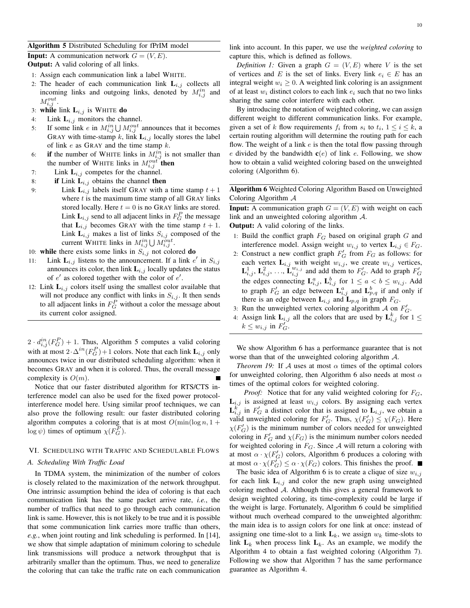# Algorithm 5 Distributed Scheduling for fPrIM model

**Input:** A communication network  $G = (V, E)$ . Output: A valid coloring of all links.

- 1: Assign each communication link a label WHITE.
- 2: The header of each communication link  $L_{i,j}$  collects all incoming links and outgoing links, denoted by  $M_{i,j}^{in}$  and  $M_{i,j}^{out}$ .
- 3: while link  $L_{i,j}$  is WHITE do
- 4: Link  $L_{i,j}$  monitors the channel.
- 5: If some link *e* in  $M_{i,j}^{in}$ U  $M_{i,j}^{out}$  announces that it becomes GRAY with time-stamp k, link  $L_{i,j}$  locally stores the label of link  $e$  as GRAY and the time stamp  $k$ .
- 6: if the number of WHITE links in  $M_{i,j}^{in}$  is not smaller than the number of WHITE links in  $M_{i,j}^{out}$  then
- 7: Link  $L_{i,j}$  competes for the channel.
- 8: if Link  $L_{i,j}$  obtains the channel then
- 9: Link  $\mathbf{L}_{i,j}$  labels itself GRAY with a time stamp  $t+1$ where  $t$  is the maximum time stamp of all GRAY links stored locally. Here  $t = 0$  is no GRAY links are stored. Link  $\mathbf{L}_{i,j}$  send to all adjacent links in  $F_G^P$  the message that  $L_{i,j}$  becomes GRAY with the time stamp  $t + 1$ . Link  $\mathbf{L}_{i,j}$  makes a list of links  $S_{i,j}$  composed of the current WHITE links in  $M_{i,j}^{in} \bigcup M_{i,j}^{out}$ .
- 10: while there exists some links in  $S_{i,j}$  not colored do
- 11: Link  $\mathbf{L}_{i,j}$  listens to the announcement. If a link  $e'$  in  $S_{i,j}$ announces its color, then link  $L_{i,j}$  locally updates the status of  $e'$  as colored together with the color of  $e'$ .
- 12: Link  $L_{i,j}$  colors itself using the smallest color available that will not produce any conflict with links in  $S_{i,j}$ . It then sends to all adjacent links in  $F_G^P$  without a color the message about its current color assigned.

 $2 \cdot d_{i,j}^{in}(F_G^P) + 1$ . Thus, Algorithm 5 computes a valid coloring with at most  $2 \cdot \Delta^{in}(F_G^P) + 1$  colors. Note that each link  $\mathbf{L}_{i,j}$  only announces twice in our distributed scheduling algorithm: when it becomes GRAY and when it is colored. Thus, the overall message complexity is  $O(m)$ .

Notice that our faster distributed algorithm for RTS/CTS interference model can also be used for the fixed power protocolinterference model here. Using similar proof techniques, we can also prove the following result: our faster distributed coloring algorithm computes a coloring that is at most  $O(\min(\log n, 1 +$  $\log \psi$ ) times of optimum  $\chi(F_G^P)$ .

# VI. SCHEDULING WITH TRAFFIC AND SCHEDULABLE FLOWS

### *A. Scheduling With Traffic Load*

In TDMA system, the minimization of the number of colors is closely related to the maximization of the network throughput. One intrinsic assumption behind the idea of coloring is that each communication link has the same packet arrive rate, *i.e.*, the number of traffics that need to go through each communication link is same. However, this is not likely to be true and it is possible that some communication link carries more traffic than others, *e.g.*, when joint routing and link scheduling is performed. In [14], we show that simple adaptation of minimum coloring to schedule link transmissions will produce a network throughput that is arbitrarily smaller than the optimum. Thus, we need to generalize the coloring that can take the traffic rate on each communication

link into account. In this paper, we use the *weighted coloring* to capture this, which is defined as follows.

*Definition 1:* Given a graph  $G = (V, E)$  where V is the set of vertices and E is the set of links. Every link  $e_i \in E$  has an integral weight  $w_i \geq 0$ . A weighted link coloring is an assignment of at least  $w_i$  distinct colors to each link  $e_i$  such that no two links sharing the same color interfere with each other.

By introducing the notation of weighted coloring, we can assign different weight to different communication links. For example, given a set of k flow requirements  $f_i$  from  $s_i$  to  $t_i$ ,  $1 \le i \le k$ , a certain routing algorithm will determine the routing path for each flow. The weight of a link  $e$  is then the total flow passing through e divided by the bandwidth  $c(e)$  of link e. Following, we show how to obtain a valid weighted coloring based on the unweighted coloring (Algorithm 6).

# Algorithm 6 Weighted Coloring Algorithm Based on Unweighted Coloring Algorithm A

**Input:** A communication graph  $G = (V, E)$  with weight on each link and an unweighted coloring algorithm A.

Output: A valid coloring of the links.

- 1: Build the conflict graph  $F_G$  based on original graph  $G$  and interference model. Assign weight  $w_{i,j}$  to vertex  $\mathbf{L}_{i,j} \in F_G$ .
- 2: Construct a new conflict graph  $F'_G$  from  $F_G$  as follows: for each vertex  $\mathbf{L}_{i,j}$  with weight  $w_{i,j}$ , we create  $w_{i,j}$  vertices,  $\mathbf{L}_{i,j}^1$ ,  $\mathbf{L}_{i,j}^2$ , ...,  $\mathbf{L}_{i,j}^{w_{i,j}}$  and add them to  $F'_G$ . Add to graph  $F'_G$ the edges connecting  $\mathbf{L}_{i,j}^a$ ,  $\mathbf{L}_{i,j}^b$  for  $1 \le a < b \le w_{i,j}$ . Add to graph  $F'_G$  an edge between  $\mathbf{L}_{i,j}^a$  and  $\mathbf{L}_{p,q}^b$  if and only if there is an edge between  $\mathbf{L}_{i,j}$  and  $\mathbf{L}_{p,q}$  in graph  $F_G$ .
- 3: Run the unweighted vertex coloring algorithm  $A$  on  $F'_G$ .
- 4: Assign link  $\mathbf{L}_{i,j}$  all the colors that are used by  $\mathbf{L}_{i,j}^{k}$  for  $1 \leq$  $k \leq w_{i,j}$  in  $F'_G$ .

We show Algorithm 6 has a performance guarantee that is not worse than that of the unweighted coloring algorithm A.

*Theorem 19:* If A uses at most  $\alpha$  times of the optimal colors for unweighted coloring, then Algorithm 6 also needs at most  $\alpha$ times of the optimal colors for weighted coloring.

*Proof:* Notice that for any valid weighted coloring for  $F_G$ ,  $L_{i,j}$  is assigned at least  $w_{i,j}$  colors. By assigning each vertex  $\mathbf{L}_{i,j}^{k'}$  in  $F'_G$  a distinct color that is assigned to  $\mathbf{L}_{i,j}$ , we obtain a valid unweighted coloring for  $F'_G$ . Thus,  $\chi(F'_G) \leq \chi(F_G)$ . Here  $\chi(F_G)$  is the minimum number of colors needed for unweighted coloring in  $F'_G$  and  $\chi(F_G)$  is the minimum number colors needed for weighted coloring in  $F_G$ . Since A will return a coloring with at most  $\alpha \cdot \chi(F'_G)$  colors, Algorithm 6 produces a coloring with at most  $\alpha \cdot \chi(F'_G) \leq \alpha \cdot \chi(F_G)$  colors. This finishes the proof.

The basic idea of Algorithm 6 is to create a clique of size  $w_{i,j}$ for each link  $L_{i,j}$  and color the new graph using unweighted coloring method A. Although this gives a general framework to design weighted coloring, its time-complexity could be large if the weight is large. Fortunately, Algorithm 6 could be simplified without much overhead compared to the unweighted algorithm: the main idea is to assign colors for one link at once: instead of assigning one time-slot to a link  $L_k$ , we assign  $w_k$  time-slots to link  $L_k$  when process link  $L_k$ . As an example, we modify the Algorithm 4 to obtain a fast weighted coloring (Algorithm 7). Following we show that Algorithm 7 has the same performance guarantee as Algorithm 4.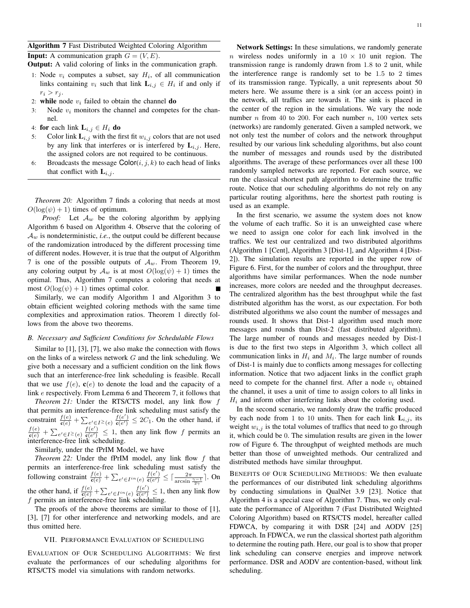**Input:** A communication graph  $G = (V, E)$ .

Output: A valid coloring of links in the communication graph.

- 1: Node  $v_i$  computes a subset, say  $H_i$ , of all communication links containing  $v_i$  such that link  $\mathbf{L}_{i,j} \in H_i$  if and only if  $r_i > r_j$ .
- 2: while node  $v_i$  failed to obtain the channel do
- 3: Node  $v_i$  monitors the channel and competes for the channel.
- 4: for each link  $\mathbf{L}_{i,j} \in H_i$  do
- 5: Color link  $\mathbf{L}_{i,j}$  with the first fit  $w_{i,j}$  colors that are not used by any link that interferes or is interfered by  $L_{i,j}$ . Here, the assigned colors are not required to be continuous.
- 6: Broadcasts the message  $\text{Color}(i, j, k)$  to each head of links that conflict with  $L_{i,j}$ .

*Theorem 20:* Algorithm 7 finds a coloring that needs at most  $O(log(\psi) + 1)$  times of optimum.

*Proof:* Let  $A_w$  be the coloring algorithm by applying Algorithm 6 based on Algorithm 4. Observe that the coloring of  $A_w$  is nondeterministic, *i.e.*, the output could be different because of the randomization introduced by the different processing time of different nodes. However, it is true that the output of Algorithm 7 is one of the possible outputs of  $A_w$ . From Theorem 19, any coloring output by  $\mathcal{A}_w$  is at most  $O(\log(\psi) + 1)$  times the optimal. Thus, Algorithm 7 computes a coloring that needs at most  $O(\log(\psi) + 1)$  times optimal color.

Similarly, we can modify Algorithm 1 and Algorithm 3 to obtain efficient weighted coloring methods with the same time complexities and approximation ratios. Theorem 1 directly follows from the above two theorems.

#### *B. Necessary and Sufficient Conditions for Schedulable Flows*

Similar to [1], [3], [7], we also make the connection with flows on the links of a wireless network  $G$  and the link scheduling. We give both a necessary and a sufficient condition on the link flows such that an interference-free link scheduling is feasible. Recall that we use  $f(e)$ ,  $\mathbf{c}(e)$  to denote the load and the capacity of a link e respectively. From Lemma 6 and Theorem 7, it follows that

*Theorem 21:* Under the RTS/CTS model, any link flow f that permits an interference-free link scheduling must satisfy the constraint  $\frac{f(e)}{f(e)} + \sum$  $e' \in I^{\geq}(e) \frac{f(e')}{\mathfrak{c}(e')}$  $\frac{f(e)}{g(e')} \leq 2C_1$ . On the other hand, if  $\frac{f(e)}{c(e)} + \sum$  $e' \in I^{\geq}(e) \frac{f(e')}{c(e')}$  $\frac{f(e)}{g(e')} \leq 1$ , then any link flow f permits an interference-free link scheduling.

Similarly, under the fPrIM Model, we have

*Theorem 22:* Under the fPrIM model, any link flow f that permits an interference-free link scheduling must satisfy the following constraint  $\frac{f(e)}{f(e)} + \sum$  $e' \in I^{in}(e) \frac{f(e')}{c(e')}$  $\frac{f(e')}{\mathbf{c}(e')} \leq \lceil \frac{2\pi}{\arcsin \frac{\gamma-1}{2\gamma}} \rceil$ . On the other hand, if  $\frac{f(e)}{c(e)} + \sum$  $e' \in I^{in}(e) \frac{f(e')}{c(e')}$  $\frac{f(e)}{g(e')} \leq 1$ , then any link flow f permits an interference-free link scheduling.

The proofs of the above theorems are similar to those of [1], [3], [7] for other interference and networking models, and are thus omitted here.

### VII. PERFORMANCE EVALUATION OF SCHEDULING

EVALUATION OF OUR SCHEDULING ALGORITHMS: We first evaluate the performances of our scheduling algorithms for RTS/CTS model via simulations with random networks.

Network Settings: In these simulations, we randomly generate n wireless nodes uniformly in a  $10 \times 10$  unit region. The transmission range is randomly drawn from 1.8 to 2 unit, while the interference range is randomly set to be 1.5 to 2 times of its transmission range. Typically, a unit represents about 50 meters here. We assume there is a sink (or an access point) in the network, all traffics are towards it. The sink is placed in the center of the region in the simulations. We vary the node number *n* from 40 to 200. For each number *n*, 100 vertex sets (networks) are randomly generated. Given a sampled network, we not only test the number of colors and the network throughput resulted by our various link scheduling algorithms, but also count the number of messages and rounds used by the distributed algorithms. The average of these performances over all these 100 randomly sampled networks are reported. For each source, we run the classical shortest path algorithm to determine the traffic route. Notice that our scheduling algorithms do not rely on any particular routing algorithms, here the shortest path routing is used as an example.

In the first scenario, we assume the system does not know the volume of each traffic. So it is an unweighted case where we need to assign one color for each link involved in the traffics. We test our centralized and two distributed algorithms (Algorithm 1 [Cent], Algorithm 3 [Dist-1], and Algorithm 4 [Dist-2]). The simulation results are reported in the upper row of Figure 6. First, for the number of colors and the throughput, three algorithms have similar performances. When the node number increases, more colors are needed and the throughput decreases. The centralized algorithm has the best throughput while the fast distributed algorithm has the worst, as our expectation. For both distributed algorithms we also count the number of messages and rounds used. It shows that Dist-1 algorithm used much more messages and rounds than Dist-2 (fast distributed algorithm). The large number of rounds and messages needed by Dist-1 is due to the first two steps in Algorithm 3, which collect all communication links in  $H_i$  and  $M_i$ . The large number of rounds of Dist-1 is mainly due to conflicts among messages for collecting information. Notice that two adjacent links in the conflict graph need to compete for the channel first. After a node  $v_i$  obtained the channel, it uses a unit of time to assign colors to all links in  $H_i$  and inform other interfering links about the coloring used.

In the second scenario, we randomly draw the traffic produced by each node from 1 to 10 units. Then for each link  $L_{i,j}$ , its weight  $w_{i,j}$  is the total volumes of traffics that need to go through it, which could be 0. The simulation results are given in the lower row of Figure 6. The throughput of weighted methods are much better than those of unweighted methods. Our centralized and distributed methods have similar throughput.

BENEFITS OF OUR SCHEDULING METHODS: We then evaluate the performances of our distributed link scheduling algorithms by conducting simulations in QualNet 3.9 [23]. Notice that Algorithm 4 is a special case of Algorithm 7. Thus, we only evaluate the performance of Algorithm 7 (Fast Distributed Weighted Coloring Algorithm) based on RTS/CTS model, hereafter called FDWCA, by comparing it with DSR [24] and AODV [25] approach. In FDWCA, we run the classical shortest path algorithm to determine the routing path. Here, our goal is to show that proper link scheduling can conserve energies and improve network performance. DSR and AODV are contention-based, without link scheduling.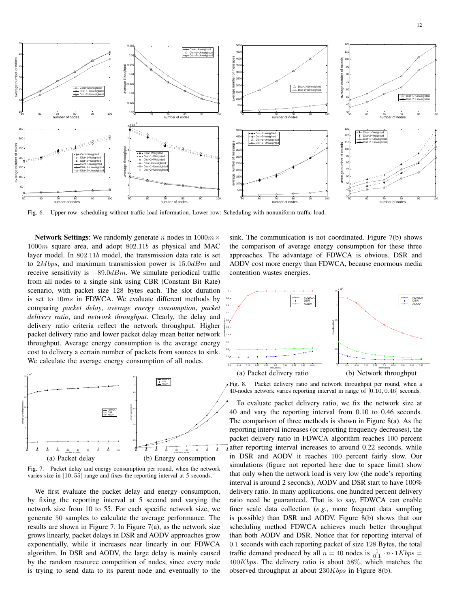

Fig. 6. Upper row: scheduling without traffic load information. Lower row: Scheduling with nonuniform traffic load.

Network Settings: We randomly generate n nodes in  $1000m \times$ 1000m square area, and adopt 802.11b as physical and MAC layer model. In 802.11b model, the transmission data rate is set to  $2Mbps$ , and maximum transmission power is  $15.0dBm$  and receive sensitivity is  $-89.0$ dBm. We simulate periodical traffic from all nodes to a single sink using CBR (Constant Bit Rate) scenario, with packet size 128 bytes each. The slot duration is set to 10ms in FDWCA. We evaluate different methods by comparing *packet delay*, *average energy consumption*, *packet delivery ratio*, and *network throughput*. Clearly, the delay and delivery ratio criteria reflect the network throughput. Higher packet delivery ratio and lower packet delay mean better network throughput. Average energy consumption is the average energy cost to delivery a certain number of packets from sources to sink. We calculate the average energy consumption of all nodes.



Fig. 7. Packet delay and energy consumption per round, when the network varies size in [10, 55] range and fixes the reporting interval at 5 seconds.

We first evaluate the packet delay and energy consumption, by fixing the reporting interval at 5 second and varying the network size from 10 to 55. For each specific network size, we generate 50 samples to calculate the average performance. The results are shown in Figure 7. In Figure 7(a), as the network size grows linearly, packet delays in DSR and AODV approaches grow exponentially, while it increases near linearly in our FDWCA algorithm. In DSR and AODV, the large delay is mainly caused by the random resource competition of nodes, since every node is trying to send data to its parent node and eventually to the

sink. The communication is not coordinated. Figure 7(b) shows the comparison of average energy consumption for these three approaches. The advantage of FDWCA is obvious. DSR and AODV cost more energy than FDWCA, because enormous media contention wastes energies.



Fig. 8. Packet delivery ratio and network throughput per round, when a 40-nodes network varies reporting interval in range of [0.10, 0.46] seconds.

To evaluate packet delivery ratio, we fix the network size at 40 and vary the reporting interval from 0.10 to 0.46 seconds. The comparison of three methods is shown in Figure 8(a). As the reporting interval increases (or reporting frequency decreases), the packet delivery ratio in FDWCA algorithm reaches 100 percent after reporting interval increases to around 0.22 seconds, while in DSR and AODV it reaches 100 percent fairly slow. Our simulations (figure not reported here due to space limit) show that only when the network load is very low (the node's reporting interval is around 2 seconds), AODV and DSR start to have 100% delivery ratio. In many applications, one hundred percent delivery ratio need be guaranteed. That is to say, FDWCA can enable finer scale data collection (*e.g.*, more frequent data sampling is possible) than DSR and AODV. Figure 8(b) shows that our scheduling method FDWCA achieves much better throughput than both AODV and DSR. Notice that for reporting interval of 0.1 seconds with each reporting packet of size 128 Bytes, the total traffic demand produced by all  $n = 40$  nodes is  $\frac{1}{0.1} \cdot n \cdot 1Kbps =$  $400Kbps$ . The delivery ratio is about 58%, which matches the observed throughput at about 230Kbps in Figure 8(b).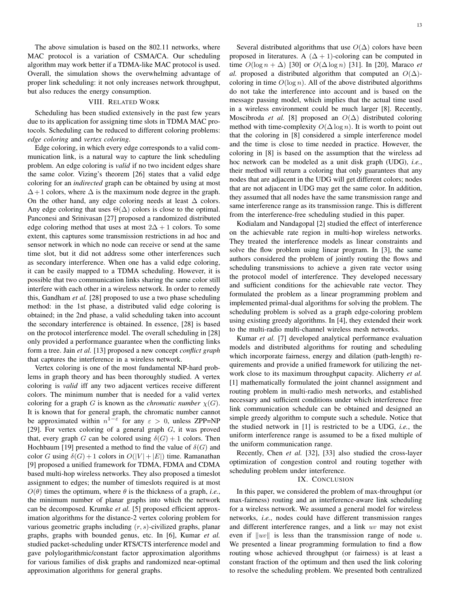The above simulation is based on the 802.11 networks, where MAC protocol is a variation of CSMA/CA. Our scheduling algorithm may work better if a TDMA-like MAC protocol is used. Overall, the simulation shows the overwhelming advantage of proper link scheduling: it not only increases network throughput, but also reduces the energy consumption.

# VIII. RELATED WORK

Scheduling has been studied extensively in the past few years due to its application for assigning time slots in TDMA MAC protocols. Scheduling can be reduced to different coloring problems: *edge coloring* and *vertex coloring*.

Edge coloring, in which every edge corresponds to a valid communication link, is a natural way to capture the link scheduling problem. An edge coloring is *valid* if no two incident edges share the same color. Vizing's theorem [26] states that a valid edge coloring for an *indirected* graph can be obtained by using at most  $\Delta+1$  colors, where  $\Delta$  is the maximum node degree in the graph. On the other hand, any edge coloring needs at least  $\Delta$  colors. Any edge coloring that uses  $\Theta(\Delta)$  colors is close to the optimal. Panconesi and Srinivasan [27] proposed a randomized distributed edge coloring method that uses at most  $2\Delta + 1$  colors. To some extent, this captures some transmission restrictions in ad hoc and sensor network in which no node can receive or send at the same time slot, but it did not address some other interferences such as secondary interference. When one has a valid edge coloring, it can be easily mapped to a TDMA scheduling. However, it is possible that two communication links sharing the same color still interfere with each other in a wireless network. In order to remedy this, Gandham *et al.* [28] proposed to use a two phase scheduling method: in the 1st phase, a distributed valid edge coloring is obtained; in the 2nd phase, a valid scheduling taken into account the secondary interference is obtained. In essence, [28] is based on the protocol interference model. The overall scheduling in [28] only provided a performance guarantee when the conflicting links form a tree. Jain *et al.* [13] proposed a new concept *conflict graph* that captures the interference in a wireless network.

Vertex coloring is one of the most fundamental NP-hard problems in graph theory and has been thoroughly studied. A vertex coloring is *valid* iff any two adjacent vertices receive different colors. The minimum number that is needed for a valid vertex coloring for a graph G is known as the *chromatic number*  $\chi(G)$ . It is known that for general graph, the chromatic number cannot be approximated within  $n^{1-\epsilon}$  for any  $\epsilon > 0$ , unless ZPP=NP [29]. For vertex coloring of a general graph  $G$ , it was proved that, every graph G can be colored using  $\delta(G) + 1$  colors. Then Hochbaum [19] presented a method to find the value of  $\delta(G)$  and color G using  $\delta(G) + 1$  colors in  $O(|V| + |E|)$  time. Ramanathan [9] proposed a unified framework for TDMA, FDMA and CDMA based multi-hop wireless networks. They also proposed a timeslot assignment to edges; the number of timeslots required is at most  $O(\theta)$  times the optimum, where  $\theta$  is the thickness of a graph, *i.e.*, the minimum number of planar graphs into which the network can be decomposed. Krumke *et al.* [5] proposed efficient approximation algorithms for the distance-2 vertex coloring problem for various geometric graphs including  $(r, s)$ -civilized graphs, planar graphs, graphs with bounded genus, etc. In [6], Kumar *et al.* studied packet-scheduling under RTS/CTS interference model and gave polylogarithmic/constant factor approximation algorithms for various families of disk graphs and randomized near-optimal approximation algorithms for general graphs.

Several distributed algorithms that use  $O(\Delta)$  colors have been proposed in literatures. A  $(\Delta + 1)$ -coloring can be computed in time  $O(\log n + \Delta)$  [30] or  $O(\Delta \log n)$  [31]. In [20], Maraco *et al.* proposed a distributed algorithm that computed an  $O(\Delta)$ coloring in time  $O(\log n)$ . All of the above distributed algorithms do not take the interference into account and is based on the message passing model, which implies that the actual time used in a wireless environment could be much larger [8]. Recently, Moscibroda *et al.* [8] proposed an  $O(\Delta)$  distributed coloring method with time-complexity  $O(\Delta \log n)$ . It is worth to point out that the coloring in [8] considered a simple interference model and the time is close to time needed in practice. However, the coloring in [8] is based on the assumption that the wireless ad hoc network can be modeled as a unit disk graph (UDG), *i.e.*, their method will return a coloring that only guarantees that any nodes that are adjacent in the UDG will get different colors; nodes that are not adjacent in UDG may get the same color. In addition, they assumed that all nodes have the same transmission range and same interference range as its transmission range. This is different from the interference-free scheduling studied in this paper.

Kodialam and Nandagopal [2] studied the effect of interference on the achievable rate region in multi-hop wireless networks. They treated the interference models as linear constraints and solve the flow problem using linear program. In [3], the same authors considered the problem of jointly routing the flows and scheduling transmissions to achieve a given rate vector using the protocol model of interference. They developed necessary and sufficient conditions for the achievable rate vector. They formulated the problem as a linear programming problem and implemented primal-dual algorithms for solving the problem. The scheduling problem is solved as a graph edge-coloring problem using existing greedy algorithms. In [4], they extended their work to the multi-radio multi-channel wireless mesh networks.

Kumar *et al.* [7] developed analytical performance evaluation models and distributed algorithms for routing and scheduling which incorporate fairness, energy and dilation (path-length) requirements and provide a unified framework for utilizing the network close to its maximum throughput capacity. Alicherry *et al.* [1] mathematically formulated the joint channel assignment and routing problem in multi-radio mesh networks, and established necessary and sufficient conditions under which interference free link communication schedule can be obtained and designed an simple greedy algorithm to compute such a schedule. Notice that the studied network in [1] is restricted to be a UDG, *i.e.*, the uniform interference range is assumed to be a fixed multiple of the uniform communication range.

Recently, Chen *et al.* [32], [33] also studied the cross-layer optimization of congestion control and routing together with scheduling problem under interference.

#### IX. CONCLUSION

In this paper, we considered the problem of max-throughput (or max-fairness) routing and an interference-aware link scheduling for a wireless network. We assumed a general model for wireless networks, *i.e.*, nodes could have different transmission ranges and different interference ranges, and a link uv may not exist even if  $\|uv\|$  is less than the transmission range of node u. We presented a linear programming formulation to find a flow routing whose achieved throughput (or fairness) is at least a constant fraction of the optimum and then used the link coloring to resolve the scheduling problem. We presented both centralized